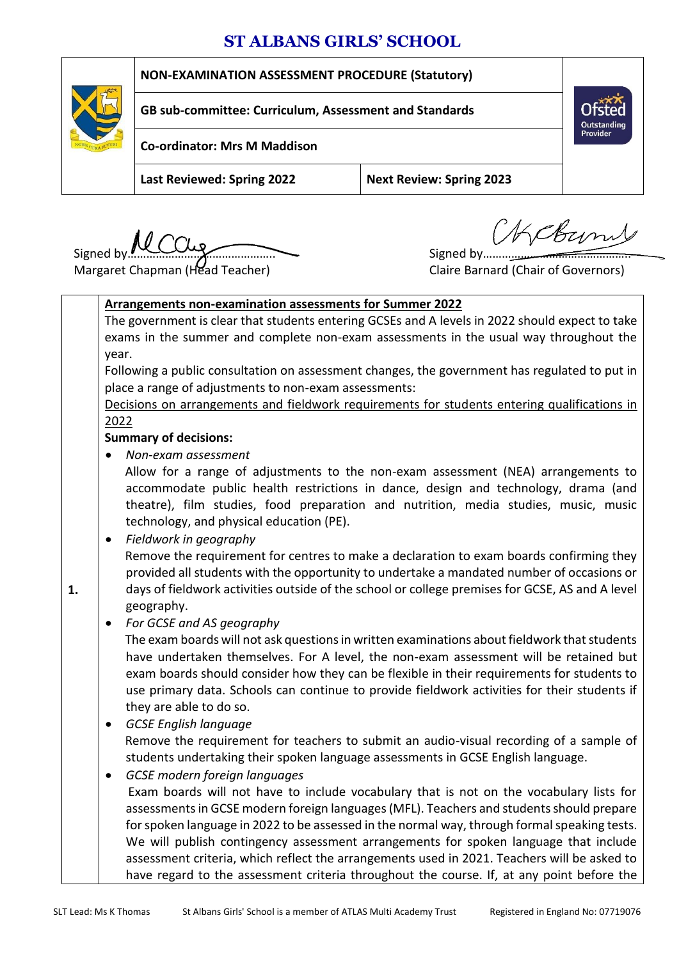## **ST ALBANS GIRLS' SCHOOL**



Signed by  $\overbrace{\hspace{1.5cm}}$  Signed by  $\overbrace{\hspace{1.5cm}}$  Signed by  $\overbrace{\hspace{1.5cm}}$ 

HCBun

Provide

Margaret Chapman (Head Teacher) Claire Barnard (Chair of Governors)

**1.**

**Arrangements non-examination assessments for Summer 2022** The government is clear that students entering GCSEs and A levels in 2022 should expect to take exams in the summer and complete non-exam assessments in the usual way throughout the year. Following a public consultation on assessment changes, the government has regulated to put in place a range of adjustments to non-exam assessments: [Decisions on arrangements and fieldwork requirements for students entering qualifications in](https://assets.publishing.service.gov.uk/government/uploads/system/uploads/attachment_data/file/994062/6801_1_nea_consultation_decisions.pdf)  [2022](https://assets.publishing.service.gov.uk/government/uploads/system/uploads/attachment_data/file/994062/6801_1_nea_consultation_decisions.pdf) **Summary of decisions:** *Non-exam assessment*  Allow for a range of adjustments to the non-exam assessment (NEA) arrangements to accommodate public health restrictions in dance, design and technology, drama (and theatre), film studies, food preparation and nutrition, media studies, music, music technology, and physical education (PE). *Fieldwork in geography*  Remove the requirement for centres to make a declaration to exam boards confirming they provided all students with the opportunity to undertake a mandated number of occasions or days of fieldwork activities outside of the school or college premises for GCSE, AS and A level geography. *For GCSE and AS geography* The exam boards will not ask questions in written examinations about fieldwork that students have undertaken themselves. For A level, the non-exam assessment will be retained but exam boards should consider how they can be flexible in their requirements for students to use primary data. Schools can continue to provide fieldwork activities for their students if they are able to do so. *GCSE English language*  Remove the requirement for teachers to submit an audio-visual recording of a sample of students undertaking their spoken language assessments in GCSE English language. *GCSE modern foreign languages*  Exam boards will not have to include vocabulary that is not on the vocabulary lists for assessments in GCSE modern foreign languages (MFL). Teachers and students should prepare for spoken language in 2022 to be assessed in the normal way, through formal speaking tests. We will publish contingency assessment arrangements for spoken language that include assessment criteria, which reflect the arrangements used in 2021. Teachers will be asked to

have regard to the assessment criteria throughout the course. If, at any point before the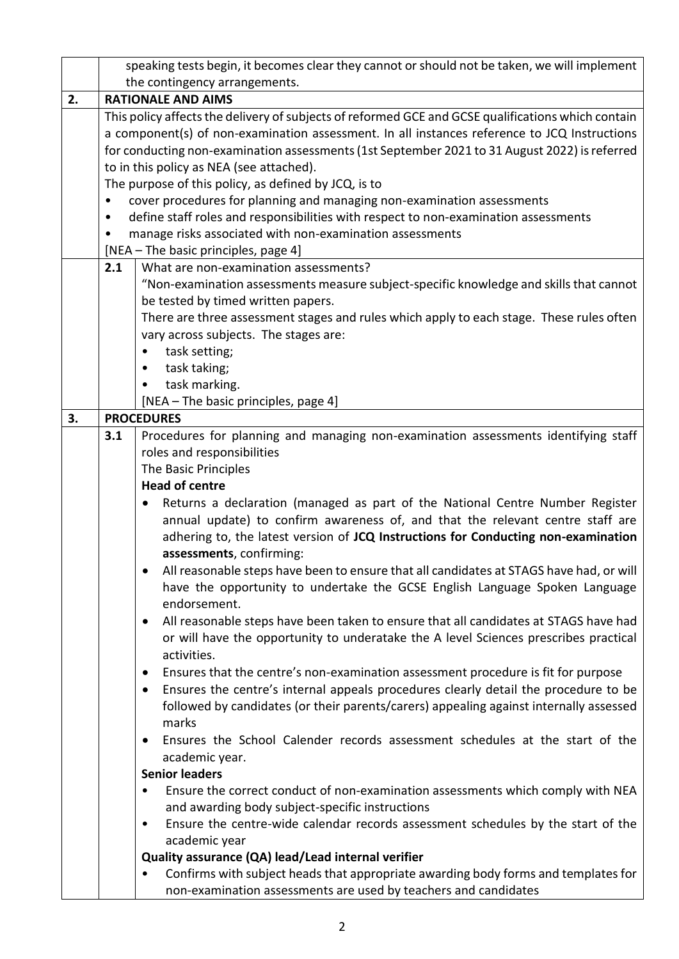|    | speaking tests begin, it becomes clear they cannot or should not be taken, we will implement |                                                                                                                                                            |  |  |  |  |  |
|----|----------------------------------------------------------------------------------------------|------------------------------------------------------------------------------------------------------------------------------------------------------------|--|--|--|--|--|
|    |                                                                                              | the contingency arrangements.                                                                                                                              |  |  |  |  |  |
| 2. |                                                                                              | <b>RATIONALE AND AIMS</b>                                                                                                                                  |  |  |  |  |  |
|    |                                                                                              | This policy affects the delivery of subjects of reformed GCE and GCSE qualifications which contain                                                         |  |  |  |  |  |
|    |                                                                                              | a component(s) of non-examination assessment. In all instances reference to JCQ Instructions                                                               |  |  |  |  |  |
|    |                                                                                              | for conducting non-examination assessments (1st September 2021 to 31 August 2022) is referred                                                              |  |  |  |  |  |
|    |                                                                                              | to in this policy as NEA (see attached).                                                                                                                   |  |  |  |  |  |
|    |                                                                                              | The purpose of this policy, as defined by JCQ, is to                                                                                                       |  |  |  |  |  |
|    |                                                                                              | cover procedures for planning and managing non-examination assessments                                                                                     |  |  |  |  |  |
|    | $\bullet$                                                                                    | define staff roles and responsibilities with respect to non-examination assessments                                                                        |  |  |  |  |  |
|    |                                                                                              | manage risks associated with non-examination assessments                                                                                                   |  |  |  |  |  |
|    |                                                                                              | [NEA - The basic principles, page 4]                                                                                                                       |  |  |  |  |  |
|    | 2.1                                                                                          | What are non-examination assessments?                                                                                                                      |  |  |  |  |  |
|    |                                                                                              | "Non-examination assessments measure subject-specific knowledge and skills that cannot                                                                     |  |  |  |  |  |
|    |                                                                                              | be tested by timed written papers.                                                                                                                         |  |  |  |  |  |
|    |                                                                                              | There are three assessment stages and rules which apply to each stage. These rules often                                                                   |  |  |  |  |  |
|    |                                                                                              | vary across subjects. The stages are:                                                                                                                      |  |  |  |  |  |
|    |                                                                                              | task setting;                                                                                                                                              |  |  |  |  |  |
|    |                                                                                              | task taking;<br>task marking.                                                                                                                              |  |  |  |  |  |
|    |                                                                                              | [NEA - The basic principles, page 4]                                                                                                                       |  |  |  |  |  |
| 3. |                                                                                              | <b>PROCEDURES</b>                                                                                                                                          |  |  |  |  |  |
|    | 3.1                                                                                          | Procedures for planning and managing non-examination assessments identifying staff                                                                         |  |  |  |  |  |
|    |                                                                                              | roles and responsibilities                                                                                                                                 |  |  |  |  |  |
|    |                                                                                              | The Basic Principles                                                                                                                                       |  |  |  |  |  |
|    |                                                                                              | <b>Head of centre</b>                                                                                                                                      |  |  |  |  |  |
|    |                                                                                              | Returns a declaration (managed as part of the National Centre Number Register                                                                              |  |  |  |  |  |
|    |                                                                                              | annual update) to confirm awareness of, and that the relevant centre staff are                                                                             |  |  |  |  |  |
|    |                                                                                              | adhering to, the latest version of JCQ Instructions for Conducting non-examination                                                                         |  |  |  |  |  |
|    |                                                                                              | assessments, confirming:                                                                                                                                   |  |  |  |  |  |
|    |                                                                                              | All reasonable steps have been to ensure that all candidates at STAGS have had, or will                                                                    |  |  |  |  |  |
|    |                                                                                              | have the opportunity to undertake the GCSE English Language Spoken Language                                                                                |  |  |  |  |  |
|    |                                                                                              | endorsement.                                                                                                                                               |  |  |  |  |  |
|    |                                                                                              | All reasonable steps have been taken to ensure that all candidates at STAGS have had<br>$\bullet$                                                          |  |  |  |  |  |
|    |                                                                                              | or will have the opportunity to underatake the A level Sciences prescribes practical                                                                       |  |  |  |  |  |
|    |                                                                                              | activities.                                                                                                                                                |  |  |  |  |  |
|    |                                                                                              | Ensures that the centre's non-examination assessment procedure is fit for purpose<br>٠                                                                     |  |  |  |  |  |
|    |                                                                                              | Ensures the centre's internal appeals procedures clearly detail the procedure to be<br>$\bullet$                                                           |  |  |  |  |  |
|    |                                                                                              | followed by candidates (or their parents/carers) appealing against internally assessed                                                                     |  |  |  |  |  |
|    |                                                                                              | marks                                                                                                                                                      |  |  |  |  |  |
|    |                                                                                              | Ensures the School Calender records assessment schedules at the start of the<br>٠                                                                          |  |  |  |  |  |
|    |                                                                                              | academic year.                                                                                                                                             |  |  |  |  |  |
|    |                                                                                              | <b>Senior leaders</b>                                                                                                                                      |  |  |  |  |  |
|    |                                                                                              | Ensure the correct conduct of non-examination assessments which comply with NEA<br>٠                                                                       |  |  |  |  |  |
|    |                                                                                              | and awarding body subject-specific instructions                                                                                                            |  |  |  |  |  |
|    |                                                                                              | Ensure the centre-wide calendar records assessment schedules by the start of the<br>$\bullet$                                                              |  |  |  |  |  |
|    |                                                                                              | academic year                                                                                                                                              |  |  |  |  |  |
|    |                                                                                              | Quality assurance (QA) lead/Lead internal verifier                                                                                                         |  |  |  |  |  |
|    |                                                                                              | Confirms with subject heads that appropriate awarding body forms and templates for<br>٠<br>non-examination assessments are used by teachers and candidates |  |  |  |  |  |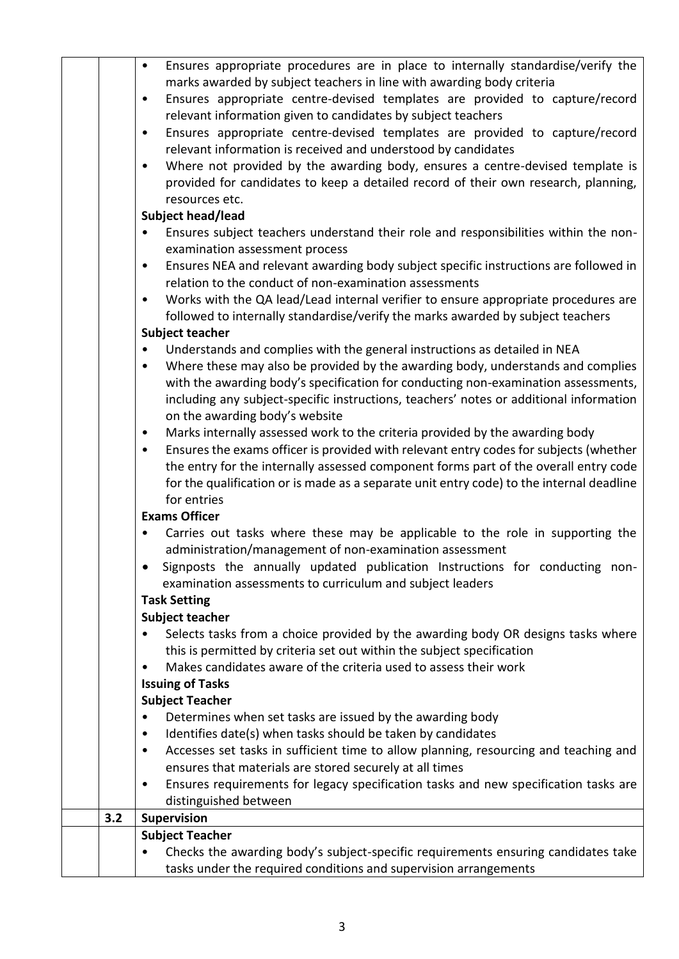|     | tasks under the required conditions and supervision arrangements                                                                                                          |
|-----|---------------------------------------------------------------------------------------------------------------------------------------------------------------------------|
|     | Checks the awarding body's subject-specific requirements ensuring candidates take<br>$\bullet$                                                                            |
|     | <b>Subject Teacher</b>                                                                                                                                                    |
| 3.2 | Supervision                                                                                                                                                               |
|     | distinguished between                                                                                                                                                     |
|     | Ensures requirements for legacy specification tasks and new specification tasks are<br>$\bullet$                                                                          |
|     | ensures that materials are stored securely at all times                                                                                                                   |
|     | Accesses set tasks in sufficient time to allow planning, resourcing and teaching and<br>$\bullet$                                                                         |
|     | Identifies date(s) when tasks should be taken by candidates<br>$\bullet$                                                                                                  |
|     | Determines when set tasks are issued by the awarding body                                                                                                                 |
|     | <b>Subject Teacher</b>                                                                                                                                                    |
|     | <b>Issuing of Tasks</b>                                                                                                                                                   |
|     | this is permitted by criteria set out within the subject specification<br>Makes candidates aware of the criteria used to assess their work<br>$\bullet$                   |
|     | Selects tasks from a choice provided by the awarding body OR designs tasks where                                                                                          |
|     | <b>Subject teacher</b>                                                                                                                                                    |
|     | <b>Task Setting</b>                                                                                                                                                       |
|     | examination assessments to curriculum and subject leaders                                                                                                                 |
|     | Signposts the annually updated publication Instructions for conducting non-                                                                                               |
|     | administration/management of non-examination assessment                                                                                                                   |
|     | Carries out tasks where these may be applicable to the role in supporting the                                                                                             |
|     | <b>Exams Officer</b>                                                                                                                                                      |
|     | for entries                                                                                                                                                               |
|     | for the qualification or is made as a separate unit entry code) to the internal deadline                                                                                  |
|     | the entry for the internally assessed component forms part of the overall entry code                                                                                      |
|     | Ensures the exams officer is provided with relevant entry codes for subjects (whether<br>$\bullet$                                                                        |
|     | Marks internally assessed work to the criteria provided by the awarding body<br>$\bullet$                                                                                 |
|     | on the awarding body's website                                                                                                                                            |
|     | including any subject-specific instructions, teachers' notes or additional information                                                                                    |
|     | with the awarding body's specification for conducting non-examination assessments,                                                                                        |
|     | Understands and complies with the general instructions as detailed in NEA<br>Where these may also be provided by the awarding body, understands and complies<br>$\bullet$ |
|     | <b>Subject teacher</b>                                                                                                                                                    |
|     | followed to internally standardise/verify the marks awarded by subject teachers                                                                                           |
|     | Works with the QA lead/Lead internal verifier to ensure appropriate procedures are<br>$\bullet$                                                                           |
|     | relation to the conduct of non-examination assessments                                                                                                                    |
|     | Ensures NEA and relevant awarding body subject specific instructions are followed in<br>$\bullet$                                                                         |
|     | examination assessment process                                                                                                                                            |
|     | Ensures subject teachers understand their role and responsibilities within the non-                                                                                       |
|     | Subject head/lead                                                                                                                                                         |
|     | resources etc.                                                                                                                                                            |
|     | provided for candidates to keep a detailed record of their own research, planning,                                                                                        |
|     | Where not provided by the awarding body, ensures a centre-devised template is<br>$\bullet$                                                                                |
|     | relevant information is received and understood by candidates                                                                                                             |
|     | Ensures appropriate centre-devised templates are provided to capture/record<br>$\bullet$                                                                                  |
|     | relevant information given to candidates by subject teachers                                                                                                              |
|     | Ensures appropriate centre-devised templates are provided to capture/record<br>$\bullet$                                                                                  |
|     | marks awarded by subject teachers in line with awarding body criteria                                                                                                     |
|     | Ensures appropriate procedures are in place to internally standardise/verify the<br>$\bullet$                                                                             |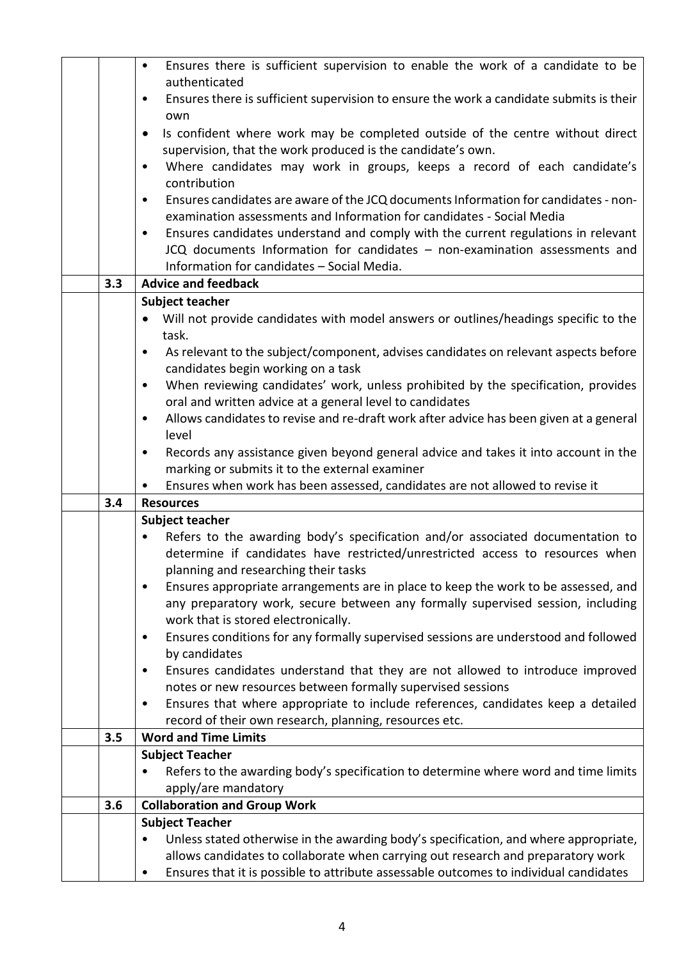|     | Ensures there is sufficient supervision to enable the work of a candidate to be<br>$\bullet$                                                                              |  |  |  |  |  |
|-----|---------------------------------------------------------------------------------------------------------------------------------------------------------------------------|--|--|--|--|--|
|     | authenticated                                                                                                                                                             |  |  |  |  |  |
|     | Ensures there is sufficient supervision to ensure the work a candidate submits is their<br>٠<br>own                                                                       |  |  |  |  |  |
|     | Is confident where work may be completed outside of the centre without direct<br>$\bullet$                                                                                |  |  |  |  |  |
|     | supervision, that the work produced is the candidate's own.                                                                                                               |  |  |  |  |  |
|     | Where candidates may work in groups, keeps a record of each candidate's<br>$\bullet$                                                                                      |  |  |  |  |  |
|     | contribution                                                                                                                                                              |  |  |  |  |  |
|     | Ensures candidates are aware of the JCQ documents Information for candidates - non-<br>$\bullet$<br>examination assessments and Information for candidates - Social Media |  |  |  |  |  |
|     | Ensures candidates understand and comply with the current regulations in relevant<br>$\bullet$                                                                            |  |  |  |  |  |
|     | JCQ documents Information for candidates - non-examination assessments and                                                                                                |  |  |  |  |  |
|     | Information for candidates - Social Media.                                                                                                                                |  |  |  |  |  |
| 3.3 | <b>Advice and feedback</b>                                                                                                                                                |  |  |  |  |  |
|     | <b>Subject teacher</b>                                                                                                                                                    |  |  |  |  |  |
|     | Will not provide candidates with model answers or outlines/headings specific to the                                                                                       |  |  |  |  |  |
|     | task.                                                                                                                                                                     |  |  |  |  |  |
|     | As relevant to the subject/component, advises candidates on relevant aspects before<br>$\bullet$<br>candidates begin working on a task                                    |  |  |  |  |  |
|     | When reviewing candidates' work, unless prohibited by the specification, provides<br>$\bullet$                                                                            |  |  |  |  |  |
|     | oral and written advice at a general level to candidates                                                                                                                  |  |  |  |  |  |
|     | Allows candidates to revise and re-draft work after advice has been given at a general<br>$\bullet$                                                                       |  |  |  |  |  |
|     | level                                                                                                                                                                     |  |  |  |  |  |
|     | Records any assistance given beyond general advice and takes it into account in the<br>$\bullet$                                                                          |  |  |  |  |  |
|     | marking or submits it to the external examiner                                                                                                                            |  |  |  |  |  |
| 3.4 | Ensures when work has been assessed, candidates are not allowed to revise it<br><b>Resources</b>                                                                          |  |  |  |  |  |
|     | Subject teacher                                                                                                                                                           |  |  |  |  |  |
|     | Refers to the awarding body's specification and/or associated documentation to<br>$\bullet$                                                                               |  |  |  |  |  |
|     | determine if candidates have restricted/unrestricted access to resources when                                                                                             |  |  |  |  |  |
|     | planning and researching their tasks                                                                                                                                      |  |  |  |  |  |
|     | Ensures appropriate arrangements are in place to keep the work to be assessed, and<br>٠                                                                                   |  |  |  |  |  |
|     | any preparatory work, secure between any formally supervised session, including                                                                                           |  |  |  |  |  |
|     | work that is stored electronically.                                                                                                                                       |  |  |  |  |  |
|     | Ensures conditions for any formally supervised sessions are understood and followed<br>٠                                                                                  |  |  |  |  |  |
|     | by candidates                                                                                                                                                             |  |  |  |  |  |
|     | Ensures candidates understand that they are not allowed to introduce improved<br>٠                                                                                        |  |  |  |  |  |
|     | notes or new resources between formally supervised sessions<br>Ensures that where appropriate to include references, candidates keep a detailed<br>$\bullet$              |  |  |  |  |  |
|     | record of their own research, planning, resources etc.                                                                                                                    |  |  |  |  |  |
| 3.5 | <b>Word and Time Limits</b>                                                                                                                                               |  |  |  |  |  |
|     | <b>Subject Teacher</b>                                                                                                                                                    |  |  |  |  |  |
|     | Refers to the awarding body's specification to determine where word and time limits                                                                                       |  |  |  |  |  |
|     | apply/are mandatory                                                                                                                                                       |  |  |  |  |  |
| 3.6 | <b>Collaboration and Group Work</b>                                                                                                                                       |  |  |  |  |  |
|     | <b>Subject Teacher</b>                                                                                                                                                    |  |  |  |  |  |
|     | Unless stated otherwise in the awarding body's specification, and where appropriate,                                                                                      |  |  |  |  |  |
|     | allows candidates to collaborate when carrying out research and preparatory work                                                                                          |  |  |  |  |  |
|     | Ensures that it is possible to attribute assessable outcomes to individual candidates<br>٠                                                                                |  |  |  |  |  |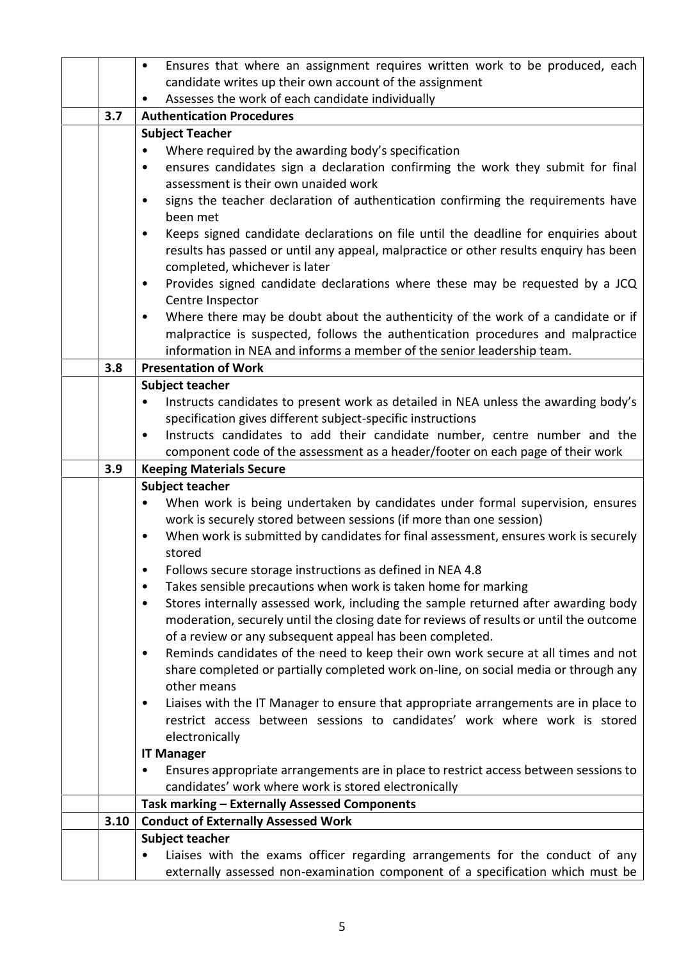|      | Ensures that where an assignment requires written work to be produced, each<br>$\bullet$                                                                       |  |  |  |  |  |  |
|------|----------------------------------------------------------------------------------------------------------------------------------------------------------------|--|--|--|--|--|--|
|      | candidate writes up their own account of the assignment                                                                                                        |  |  |  |  |  |  |
|      | Assesses the work of each candidate individually                                                                                                               |  |  |  |  |  |  |
| 3.7  | <b>Authentication Procedures</b>                                                                                                                               |  |  |  |  |  |  |
|      | <b>Subject Teacher</b>                                                                                                                                         |  |  |  |  |  |  |
|      | Where required by the awarding body's specification                                                                                                            |  |  |  |  |  |  |
|      | ensures candidates sign a declaration confirming the work they submit for final<br>٠                                                                           |  |  |  |  |  |  |
|      | assessment is their own unaided work                                                                                                                           |  |  |  |  |  |  |
|      | signs the teacher declaration of authentication confirming the requirements have<br>$\bullet$<br>been met                                                      |  |  |  |  |  |  |
|      | Keeps signed candidate declarations on file until the deadline for enquiries about<br>$\bullet$                                                                |  |  |  |  |  |  |
|      | results has passed or until any appeal, malpractice or other results enquiry has been                                                                          |  |  |  |  |  |  |
|      | completed, whichever is later                                                                                                                                  |  |  |  |  |  |  |
|      | Provides signed candidate declarations where these may be requested by a JCQ<br>$\bullet$                                                                      |  |  |  |  |  |  |
|      | Centre Inspector                                                                                                                                               |  |  |  |  |  |  |
|      | Where there may be doubt about the authenticity of the work of a candidate or if<br>$\bullet$                                                                  |  |  |  |  |  |  |
|      | malpractice is suspected, follows the authentication procedures and malpractice                                                                                |  |  |  |  |  |  |
|      | information in NEA and informs a member of the senior leadership team.                                                                                         |  |  |  |  |  |  |
| 3.8  | <b>Presentation of Work</b>                                                                                                                                    |  |  |  |  |  |  |
|      | Subject teacher                                                                                                                                                |  |  |  |  |  |  |
|      | Instructs candidates to present work as detailed in NEA unless the awarding body's<br>$\bullet$                                                                |  |  |  |  |  |  |
|      | specification gives different subject-specific instructions                                                                                                    |  |  |  |  |  |  |
|      | Instructs candidates to add their candidate number, centre number and the<br>$\bullet$                                                                         |  |  |  |  |  |  |
|      | component code of the assessment as a header/footer on each page of their work                                                                                 |  |  |  |  |  |  |
| 3.9  | <b>Keeping Materials Secure</b>                                                                                                                                |  |  |  |  |  |  |
|      |                                                                                                                                                                |  |  |  |  |  |  |
|      | <b>Subject teacher</b>                                                                                                                                         |  |  |  |  |  |  |
|      | When work is being undertaken by candidates under formal supervision, ensures                                                                                  |  |  |  |  |  |  |
|      | work is securely stored between sessions (if more than one session)                                                                                            |  |  |  |  |  |  |
|      | When work is submitted by candidates for final assessment, ensures work is securely<br>$\bullet$                                                               |  |  |  |  |  |  |
|      | stored                                                                                                                                                         |  |  |  |  |  |  |
|      | Follows secure storage instructions as defined in NEA 4.8                                                                                                      |  |  |  |  |  |  |
|      | Takes sensible precautions when work is taken home for marking<br>٠                                                                                            |  |  |  |  |  |  |
|      | Stores internally assessed work, including the sample returned after awarding body<br>٠                                                                        |  |  |  |  |  |  |
|      | moderation, securely until the closing date for reviews of results or until the outcome                                                                        |  |  |  |  |  |  |
|      | of a review or any subsequent appeal has been completed.                                                                                                       |  |  |  |  |  |  |
|      | Reminds candidates of the need to keep their own work secure at all times and not<br>٠                                                                         |  |  |  |  |  |  |
|      | share completed or partially completed work on-line, on social media or through any                                                                            |  |  |  |  |  |  |
|      | other means                                                                                                                                                    |  |  |  |  |  |  |
|      | Liaises with the IT Manager to ensure that appropriate arrangements are in place to<br>$\bullet$                                                               |  |  |  |  |  |  |
|      | restrict access between sessions to candidates' work where work is stored                                                                                      |  |  |  |  |  |  |
|      | electronically                                                                                                                                                 |  |  |  |  |  |  |
|      | <b>IT Manager</b>                                                                                                                                              |  |  |  |  |  |  |
|      | Ensures appropriate arrangements are in place to restrict access between sessions to<br>٠                                                                      |  |  |  |  |  |  |
|      | candidates' work where work is stored electronically                                                                                                           |  |  |  |  |  |  |
|      | Task marking - Externally Assessed Components                                                                                                                  |  |  |  |  |  |  |
| 3.10 | <b>Conduct of Externally Assessed Work</b>                                                                                                                     |  |  |  |  |  |  |
|      | Subject teacher                                                                                                                                                |  |  |  |  |  |  |
|      | Liaises with the exams officer regarding arrangements for the conduct of any<br>externally assessed non-examination component of a specification which must be |  |  |  |  |  |  |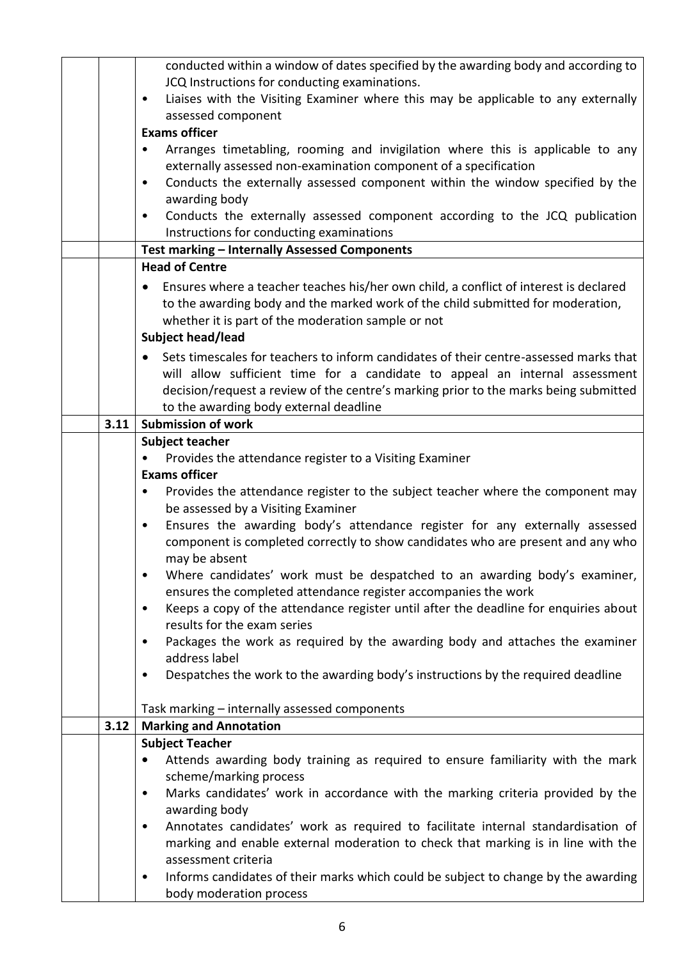|      | conducted within a window of dates specified by the awarding body and according to                        |  |  |  |  |  |
|------|-----------------------------------------------------------------------------------------------------------|--|--|--|--|--|
|      | JCQ Instructions for conducting examinations.                                                             |  |  |  |  |  |
|      | Liaises with the Visiting Examiner where this may be applicable to any externally<br>$\bullet$            |  |  |  |  |  |
|      | assessed component                                                                                        |  |  |  |  |  |
|      | <b>Exams officer</b>                                                                                      |  |  |  |  |  |
|      | Arranges timetabling, rooming and invigilation where this is applicable to any                            |  |  |  |  |  |
|      | externally assessed non-examination component of a specification                                          |  |  |  |  |  |
|      | Conducts the externally assessed component within the window specified by the<br>$\bullet$                |  |  |  |  |  |
|      | awarding body                                                                                             |  |  |  |  |  |
|      | Conducts the externally assessed component according to the JCQ publication<br>$\bullet$                  |  |  |  |  |  |
|      | Instructions for conducting examinations                                                                  |  |  |  |  |  |
|      | Test marking - Internally Assessed Components                                                             |  |  |  |  |  |
|      | <b>Head of Centre</b>                                                                                     |  |  |  |  |  |
|      | Ensures where a teacher teaches his/her own child, a conflict of interest is declared                     |  |  |  |  |  |
|      | to the awarding body and the marked work of the child submitted for moderation,                           |  |  |  |  |  |
|      | whether it is part of the moderation sample or not                                                        |  |  |  |  |  |
|      | Subject head/lead                                                                                         |  |  |  |  |  |
|      | Sets timescales for teachers to inform candidates of their centre-assessed marks that                     |  |  |  |  |  |
|      |                                                                                                           |  |  |  |  |  |
|      | will allow sufficient time for a candidate to appeal an internal assessment                               |  |  |  |  |  |
|      | decision/request a review of the centre's marking prior to the marks being submitted                      |  |  |  |  |  |
| 3.11 | to the awarding body external deadline<br><b>Submission of work</b>                                       |  |  |  |  |  |
|      | <b>Subject teacher</b>                                                                                    |  |  |  |  |  |
|      | Provides the attendance register to a Visiting Examiner                                                   |  |  |  |  |  |
|      | <b>Exams officer</b>                                                                                      |  |  |  |  |  |
|      | Provides the attendance register to the subject teacher where the component may<br>$\bullet$              |  |  |  |  |  |
|      | be assessed by a Visiting Examiner                                                                        |  |  |  |  |  |
|      | Ensures the awarding body's attendance register for any externally assessed<br>$\bullet$                  |  |  |  |  |  |
|      | component is completed correctly to show candidates who are present and any who                           |  |  |  |  |  |
|      | may be absent                                                                                             |  |  |  |  |  |
|      | Where candidates' work must be despatched to an awarding body's examiner,<br>$\bullet$                    |  |  |  |  |  |
|      | ensures the completed attendance register accompanies the work                                            |  |  |  |  |  |
|      | Keeps a copy of the attendance register until after the deadline for enquiries about<br>$\bullet$         |  |  |  |  |  |
|      | results for the exam series                                                                               |  |  |  |  |  |
|      | Packages the work as required by the awarding body and attaches the examiner<br>$\bullet$                 |  |  |  |  |  |
|      | address label                                                                                             |  |  |  |  |  |
|      | Despatches the work to the awarding body's instructions by the required deadline<br>$\bullet$             |  |  |  |  |  |
|      |                                                                                                           |  |  |  |  |  |
|      | Task marking - internally assessed components                                                             |  |  |  |  |  |
| 3.12 | <b>Marking and Annotation</b>                                                                             |  |  |  |  |  |
|      | <b>Subject Teacher</b>                                                                                    |  |  |  |  |  |
|      | Attends awarding body training as required to ensure familiarity with the mark                            |  |  |  |  |  |
|      | scheme/marking process                                                                                    |  |  |  |  |  |
|      | Marks candidates' work in accordance with the marking criteria provided by the<br>$\bullet$               |  |  |  |  |  |
|      | awarding body                                                                                             |  |  |  |  |  |
|      | Annotates candidates' work as required to facilitate internal standardisation of<br>$\bullet$             |  |  |  |  |  |
|      | marking and enable external moderation to check that marking is in line with the                          |  |  |  |  |  |
|      |                                                                                                           |  |  |  |  |  |
|      |                                                                                                           |  |  |  |  |  |
|      | assessment criteria<br>Informs candidates of their marks which could be subject to change by the awarding |  |  |  |  |  |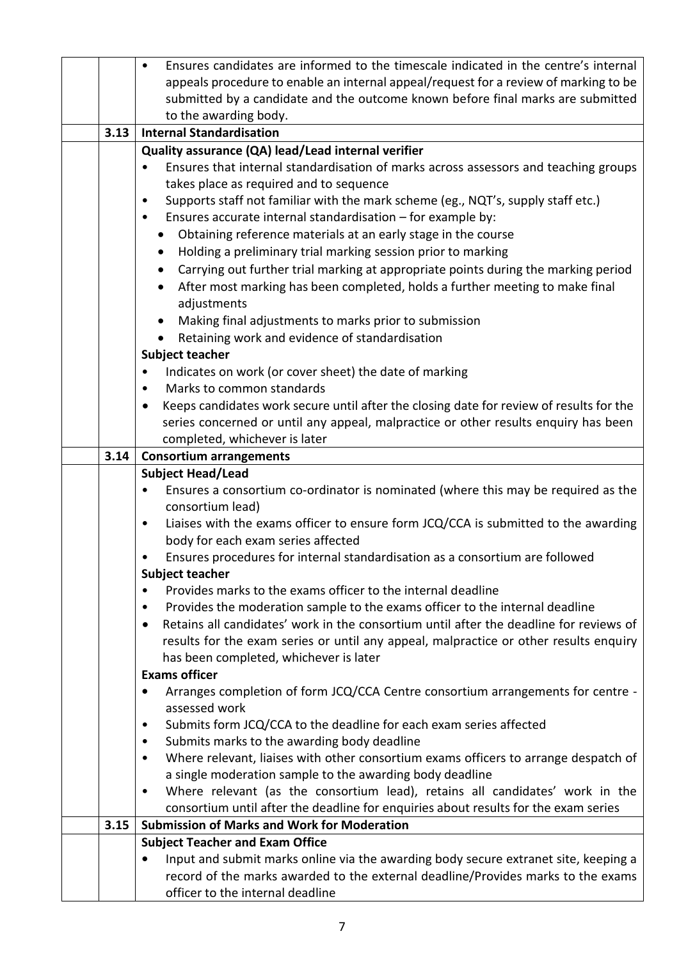|      | Ensures candidates are informed to the timescale indicated in the centre's internal<br>$\bullet$    |  |  |  |  |  |  |
|------|-----------------------------------------------------------------------------------------------------|--|--|--|--|--|--|
|      | appeals procedure to enable an internal appeal/request for a review of marking to be                |  |  |  |  |  |  |
|      | submitted by a candidate and the outcome known before final marks are submitted                     |  |  |  |  |  |  |
|      | to the awarding body.                                                                               |  |  |  |  |  |  |
| 3.13 | <b>Internal Standardisation</b>                                                                     |  |  |  |  |  |  |
|      | Quality assurance (QA) lead/Lead internal verifier                                                  |  |  |  |  |  |  |
|      | Ensures that internal standardisation of marks across assessors and teaching groups                 |  |  |  |  |  |  |
|      | takes place as required and to sequence                                                             |  |  |  |  |  |  |
|      | Supports staff not familiar with the mark scheme (eg., NQT's, supply staff etc.)<br>٠               |  |  |  |  |  |  |
|      | Ensures accurate internal standardisation - for example by:<br>$\bullet$                            |  |  |  |  |  |  |
|      | Obtaining reference materials at an early stage in the course                                       |  |  |  |  |  |  |
|      | Holding a preliminary trial marking session prior to marking                                        |  |  |  |  |  |  |
|      | Carrying out further trial marking at appropriate points during the marking period                  |  |  |  |  |  |  |
|      | After most marking has been completed, holds a further meeting to make final                        |  |  |  |  |  |  |
|      | adjustments                                                                                         |  |  |  |  |  |  |
|      | Making final adjustments to marks prior to submission                                               |  |  |  |  |  |  |
|      | Retaining work and evidence of standardisation                                                      |  |  |  |  |  |  |
|      | Subject teacher                                                                                     |  |  |  |  |  |  |
|      | Indicates on work (or cover sheet) the date of marking                                              |  |  |  |  |  |  |
|      | Marks to common standards<br>$\bullet$                                                              |  |  |  |  |  |  |
|      | Keeps candidates work secure until after the closing date for review of results for the             |  |  |  |  |  |  |
|      | series concerned or until any appeal, malpractice or other results enquiry has been                 |  |  |  |  |  |  |
|      | completed, whichever is later                                                                       |  |  |  |  |  |  |
| 3.14 | <b>Consortium arrangements</b>                                                                      |  |  |  |  |  |  |
|      | <b>Subject Head/Lead</b>                                                                            |  |  |  |  |  |  |
|      | Ensures a consortium co-ordinator is nominated (where this may be required as the<br>$\bullet$      |  |  |  |  |  |  |
|      | consortium lead)                                                                                    |  |  |  |  |  |  |
|      | Liaises with the exams officer to ensure form JCQ/CCA is submitted to the awarding<br>$\bullet$     |  |  |  |  |  |  |
|      | body for each exam series affected                                                                  |  |  |  |  |  |  |
|      | Ensures procedures for internal standardisation as a consortium are followed<br>٠                   |  |  |  |  |  |  |
|      | <b>Subject teacher</b><br>Provides marks to the exams officer to the internal deadline              |  |  |  |  |  |  |
|      | Provides the moderation sample to the exams officer to the internal deadline<br>٠                   |  |  |  |  |  |  |
|      | Retains all candidates' work in the consortium until after the deadline for reviews of<br>$\bullet$ |  |  |  |  |  |  |
|      | results for the exam series or until any appeal, malpractice or other results enquiry               |  |  |  |  |  |  |
|      | has been completed, whichever is later                                                              |  |  |  |  |  |  |
|      | <b>Exams officer</b>                                                                                |  |  |  |  |  |  |
|      | Arranges completion of form JCQ/CCA Centre consortium arrangements for centre -                     |  |  |  |  |  |  |
|      | assessed work                                                                                       |  |  |  |  |  |  |
|      | Submits form JCQ/CCA to the deadline for each exam series affected                                  |  |  |  |  |  |  |
|      | Submits marks to the awarding body deadline<br>٠                                                    |  |  |  |  |  |  |
|      | Where relevant, liaises with other consortium exams officers to arrange despatch of<br>$\bullet$    |  |  |  |  |  |  |
|      | a single moderation sample to the awarding body deadline                                            |  |  |  |  |  |  |
|      | Where relevant (as the consortium lead), retains all candidates' work in the<br>٠                   |  |  |  |  |  |  |
|      | consortium until after the deadline for enquiries about results for the exam series                 |  |  |  |  |  |  |
| 3.15 | <b>Submission of Marks and Work for Moderation</b>                                                  |  |  |  |  |  |  |
|      | <b>Subject Teacher and Exam Office</b>                                                              |  |  |  |  |  |  |
|      | Input and submit marks online via the awarding body secure extranet site, keeping a                 |  |  |  |  |  |  |
|      | record of the marks awarded to the external deadline/Provides marks to the exams                    |  |  |  |  |  |  |
|      | officer to the internal deadline                                                                    |  |  |  |  |  |  |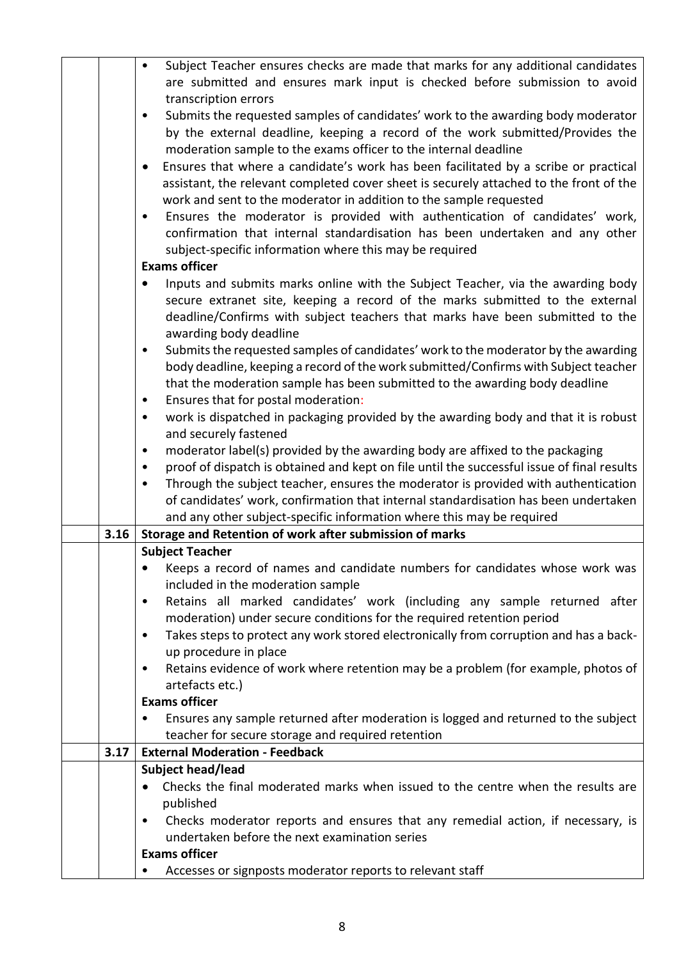|                                                                              | Subject Teacher ensures checks are made that marks for any additional candidates<br>$\bullet$      |  |  |  |  |
|------------------------------------------------------------------------------|----------------------------------------------------------------------------------------------------|--|--|--|--|
|                                                                              | are submitted and ensures mark input is checked before submission to avoid                         |  |  |  |  |
|                                                                              | transcription errors                                                                               |  |  |  |  |
|                                                                              | Submits the requested samples of candidates' work to the awarding body moderator                   |  |  |  |  |
|                                                                              | by the external deadline, keeping a record of the work submitted/Provides the                      |  |  |  |  |
|                                                                              | moderation sample to the exams officer to the internal deadline                                    |  |  |  |  |
|                                                                              | Ensures that where a candidate's work has been facilitated by a scribe or practical                |  |  |  |  |
|                                                                              | assistant, the relevant completed cover sheet is securely attached to the front of the             |  |  |  |  |
|                                                                              | work and sent to the moderator in addition to the sample requested                                 |  |  |  |  |
|                                                                              | Ensures the moderator is provided with authentication of candidates' work,<br>$\bullet$            |  |  |  |  |
| confirmation that internal standardisation has been undertaken and any other |                                                                                                    |  |  |  |  |
|                                                                              | subject-specific information where this may be required                                            |  |  |  |  |
|                                                                              | <b>Exams officer</b>                                                                               |  |  |  |  |
|                                                                              | Inputs and submits marks online with the Subject Teacher, via the awarding body                    |  |  |  |  |
|                                                                              | secure extranet site, keeping a record of the marks submitted to the external                      |  |  |  |  |
|                                                                              | deadline/Confirms with subject teachers that marks have been submitted to the                      |  |  |  |  |
|                                                                              | awarding body deadline                                                                             |  |  |  |  |
|                                                                              | Submits the requested samples of candidates' work to the moderator by the awarding<br>$\bullet$    |  |  |  |  |
|                                                                              | body deadline, keeping a record of the work submitted/Confirms with Subject teacher                |  |  |  |  |
|                                                                              | that the moderation sample has been submitted to the awarding body deadline                        |  |  |  |  |
|                                                                              | Ensures that for postal moderation:<br>$\bullet$                                                   |  |  |  |  |
|                                                                              | work is dispatched in packaging provided by the awarding body and that it is robust<br>$\bullet$   |  |  |  |  |
|                                                                              | and securely fastened                                                                              |  |  |  |  |
|                                                                              | moderator label(s) provided by the awarding body are affixed to the packaging<br>$\bullet$         |  |  |  |  |
|                                                                              | proof of dispatch is obtained and kept on file until the successful issue of final results<br>٠    |  |  |  |  |
|                                                                              | Through the subject teacher, ensures the moderator is provided with authentication<br>$\bullet$    |  |  |  |  |
|                                                                              | of candidates' work, confirmation that internal standardisation has been undertaken                |  |  |  |  |
|                                                                              | and any other subject-specific information where this may be required                              |  |  |  |  |
| 3.16                                                                         | Storage and Retention of work after submission of marks                                            |  |  |  |  |
|                                                                              | <b>Subject Teacher</b>                                                                             |  |  |  |  |
|                                                                              | Keeps a record of names and candidate numbers for candidates whose work was                        |  |  |  |  |
|                                                                              | included in the moderation sample                                                                  |  |  |  |  |
|                                                                              | Retains all marked candidates' work (including any sample returned after<br>$\bullet$              |  |  |  |  |
|                                                                              | moderation) under secure conditions for the required retention period                              |  |  |  |  |
|                                                                              | Takes steps to protect any work stored electronically from corruption and has a back-<br>$\bullet$ |  |  |  |  |
|                                                                              | up procedure in place                                                                              |  |  |  |  |
|                                                                              | Retains evidence of work where retention may be a problem (for example, photos of                  |  |  |  |  |
|                                                                              | artefacts etc.)                                                                                    |  |  |  |  |
|                                                                              | <b>Exams officer</b>                                                                               |  |  |  |  |
|                                                                              | Ensures any sample returned after moderation is logged and returned to the subject                 |  |  |  |  |
|                                                                              | teacher for secure storage and required retention                                                  |  |  |  |  |
| 3.17                                                                         | <b>External Moderation - Feedback</b>                                                              |  |  |  |  |
|                                                                              | Subject head/lead                                                                                  |  |  |  |  |
|                                                                              | Checks the final moderated marks when issued to the centre when the results are                    |  |  |  |  |
|                                                                              | published                                                                                          |  |  |  |  |
|                                                                              | Checks moderator reports and ensures that any remedial action, if necessary, is                    |  |  |  |  |
|                                                                              | undertaken before the next examination series                                                      |  |  |  |  |
|                                                                              | <b>Exams officer</b>                                                                               |  |  |  |  |
|                                                                              | Accesses or signposts moderator reports to relevant staff<br>٠                                     |  |  |  |  |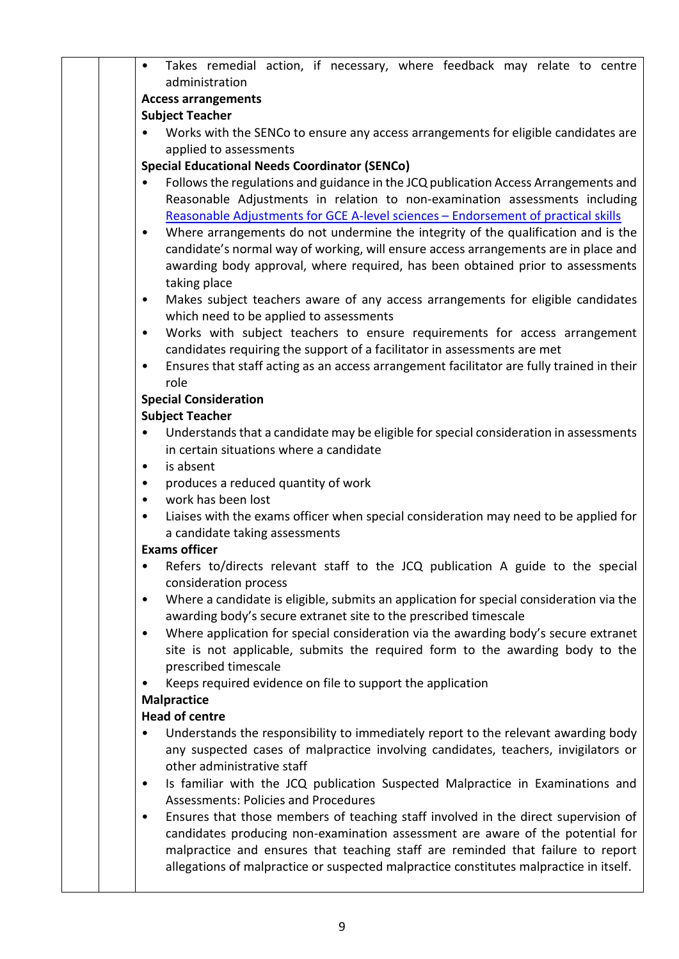|  | $\bullet$             | Takes remedial action, if necessary, where feedback may relate to centre                                                   |  |  |  |  |  |
|--|-----------------------|----------------------------------------------------------------------------------------------------------------------------|--|--|--|--|--|
|  |                       | administration                                                                                                             |  |  |  |  |  |
|  |                       | <b>Access arrangements</b>                                                                                                 |  |  |  |  |  |
|  |                       | <b>Subject Teacher</b>                                                                                                     |  |  |  |  |  |
|  |                       | Works with the SENCo to ensure any access arrangements for eligible candidates are                                         |  |  |  |  |  |
|  |                       | applied to assessments                                                                                                     |  |  |  |  |  |
|  |                       | <b>Special Educational Needs Coordinator (SENCo)</b>                                                                       |  |  |  |  |  |
|  | $\bullet$             | Follows the regulations and guidance in the JCQ publication Access Arrangements and                                        |  |  |  |  |  |
|  |                       | Reasonable Adjustments in relation to non-examination assessments including                                                |  |  |  |  |  |
|  |                       | Reasonable Adjustments for GCE A-level sciences - Endorsement of practical skills                                          |  |  |  |  |  |
|  | $\bullet$             | Where arrangements do not undermine the integrity of the qualification and is the                                          |  |  |  |  |  |
|  |                       | candidate's normal way of working, will ensure access arrangements are in place and                                        |  |  |  |  |  |
|  |                       | awarding body approval, where required, has been obtained prior to assessments                                             |  |  |  |  |  |
|  | $\bullet$             | taking place                                                                                                               |  |  |  |  |  |
|  |                       | Makes subject teachers aware of any access arrangements for eligible candidates<br>which need to be applied to assessments |  |  |  |  |  |
|  | $\bullet$             | Works with subject teachers to ensure requirements for access arrangement                                                  |  |  |  |  |  |
|  |                       | candidates requiring the support of a facilitator in assessments are met                                                   |  |  |  |  |  |
|  | $\bullet$             | Ensures that staff acting as an access arrangement facilitator are fully trained in their                                  |  |  |  |  |  |
|  | role                  |                                                                                                                            |  |  |  |  |  |
|  |                       | <b>Special Consideration</b>                                                                                               |  |  |  |  |  |
|  |                       | <b>Subject Teacher</b>                                                                                                     |  |  |  |  |  |
|  |                       | Understands that a candidate may be eligible for special consideration in assessments                                      |  |  |  |  |  |
|  |                       | in certain situations where a candidate                                                                                    |  |  |  |  |  |
|  | $\bullet$             | is absent                                                                                                                  |  |  |  |  |  |
|  | $\bullet$             | produces a reduced quantity of work                                                                                        |  |  |  |  |  |
|  | ٠                     | work has been lost                                                                                                         |  |  |  |  |  |
|  | $\bullet$             | Liaises with the exams officer when special consideration may need to be applied for                                       |  |  |  |  |  |
|  |                       | a candidate taking assessments                                                                                             |  |  |  |  |  |
|  | <b>Exams officer</b>  |                                                                                                                            |  |  |  |  |  |
|  |                       | Refers to/directs relevant staff to the JCQ publication A guide to the special                                             |  |  |  |  |  |
|  |                       | consideration process<br>Where a candidate is eligible, submits an application for special consideration via the           |  |  |  |  |  |
|  | $\bullet$             | awarding body's secure extranet site to the prescribed timescale                                                           |  |  |  |  |  |
|  | $\bullet$             | Where application for special consideration via the awarding body's secure extranet                                        |  |  |  |  |  |
|  |                       | site is not applicable, submits the required form to the awarding body to the                                              |  |  |  |  |  |
|  |                       | prescribed timescale                                                                                                       |  |  |  |  |  |
|  |                       | Keeps required evidence on file to support the application                                                                 |  |  |  |  |  |
|  | <b>Malpractice</b>    |                                                                                                                            |  |  |  |  |  |
|  | <b>Head of centre</b> |                                                                                                                            |  |  |  |  |  |
|  |                       | Understands the responsibility to immediately report to the relevant awarding body                                         |  |  |  |  |  |
|  |                       | any suspected cases of malpractice involving candidates, teachers, invigilators or                                         |  |  |  |  |  |
|  |                       | other administrative staff                                                                                                 |  |  |  |  |  |
|  | $\bullet$             | Is familiar with the JCQ publication Suspected Malpractice in Examinations and                                             |  |  |  |  |  |
|  |                       | <b>Assessments: Policies and Procedures</b>                                                                                |  |  |  |  |  |
|  | $\bullet$             | Ensures that those members of teaching staff involved in the direct supervision of                                         |  |  |  |  |  |
|  |                       | candidates producing non-examination assessment are aware of the potential for                                             |  |  |  |  |  |
|  |                       | malpractice and ensures that teaching staff are reminded that failure to report                                            |  |  |  |  |  |
|  |                       | allegations of malpractice or suspected malpractice constitutes malpractice in itself.                                     |  |  |  |  |  |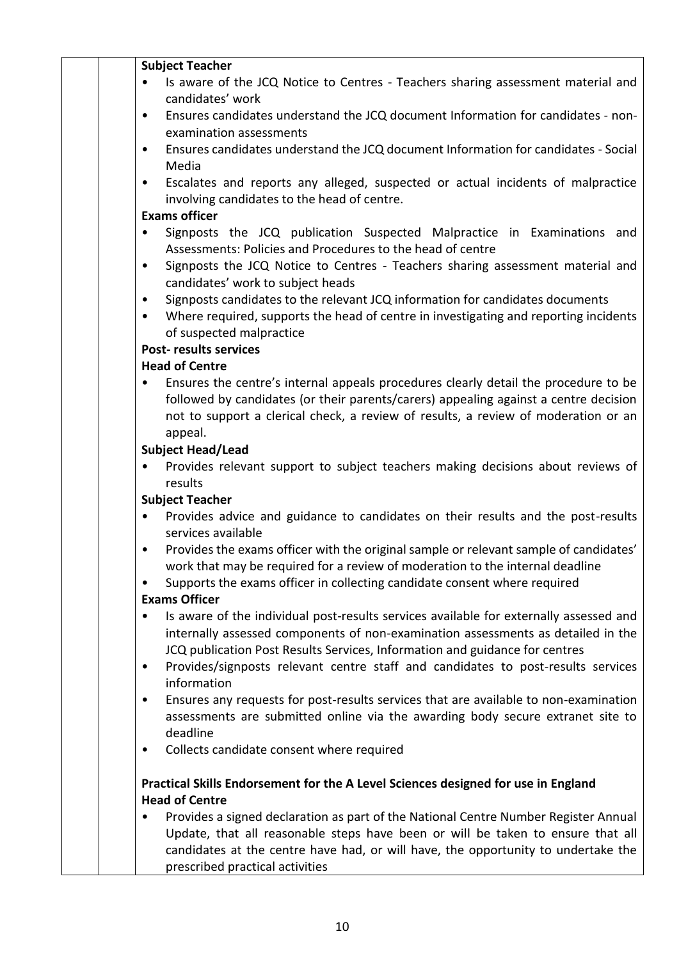|  | <b>Subject Teacher</b>                                                                                         |
|--|----------------------------------------------------------------------------------------------------------------|
|  | Is aware of the JCQ Notice to Centres - Teachers sharing assessment material and<br>candidates' work           |
|  | Ensures candidates understand the JCQ document Information for candidates - non-<br>$\bullet$                  |
|  | examination assessments                                                                                        |
|  | Ensures candidates understand the JCQ document Information for candidates - Social<br>$\bullet$                |
|  | Media                                                                                                          |
|  | Escalates and reports any alleged, suspected or actual incidents of malpractice<br>$\bullet$                   |
|  | involving candidates to the head of centre.                                                                    |
|  | <b>Exams officer</b>                                                                                           |
|  | Signposts the JCQ publication Suspected Malpractice in Examinations and<br>$\bullet$                           |
|  | Assessments: Policies and Procedures to the head of centre                                                     |
|  | Signposts the JCQ Notice to Centres - Teachers sharing assessment material and<br>$\bullet$                    |
|  | candidates' work to subject heads                                                                              |
|  | Signposts candidates to the relevant JCQ information for candidates documents<br>$\bullet$                     |
|  | Where required, supports the head of centre in investigating and reporting incidents<br>$\bullet$              |
|  | of suspected malpractice                                                                                       |
|  | <b>Post-results services</b>                                                                                   |
|  | <b>Head of Centre</b>                                                                                          |
|  | Ensures the centre's internal appeals procedures clearly detail the procedure to be                            |
|  | followed by candidates (or their parents/carers) appealing against a centre decision                           |
|  | not to support a clerical check, a review of results, a review of moderation or an                             |
|  | appeal.                                                                                                        |
|  | <b>Subject Head/Lead</b>                                                                                       |
|  | Provides relevant support to subject teachers making decisions about reviews of                                |
|  | results                                                                                                        |
|  | <b>Subject Teacher</b>                                                                                         |
|  | Provides advice and guidance to candidates on their results and the post-results<br>$\bullet$                  |
|  | services available                                                                                             |
|  | Provides the exams officer with the original sample or relevant sample of candidates'<br>$\bullet$             |
|  | work that may be required for a review of moderation to the internal deadline                                  |
|  | Supports the exams officer in collecting candidate consent where required<br>$\bullet$<br><b>Exams Officer</b> |
|  | Is aware of the individual post-results services available for externally assessed and                         |
|  | internally assessed components of non-examination assessments as detailed in the                               |
|  | JCQ publication Post Results Services, Information and guidance for centres                                    |
|  | Provides/signposts relevant centre staff and candidates to post-results services<br>٠                          |
|  | information                                                                                                    |
|  | Ensures any requests for post-results services that are available to non-examination<br>$\bullet$              |
|  | assessments are submitted online via the awarding body secure extranet site to                                 |
|  | deadline                                                                                                       |
|  | Collects candidate consent where required<br>٠                                                                 |
|  |                                                                                                                |
|  | Practical Skills Endorsement for the A Level Sciences designed for use in England                              |
|  | <b>Head of Centre</b>                                                                                          |
|  | Provides a signed declaration as part of the National Centre Number Register Annual                            |
|  | Update, that all reasonable steps have been or will be taken to ensure that all                                |
|  | candidates at the centre have had, or will have, the opportunity to undertake the                              |
|  | prescribed practical activities                                                                                |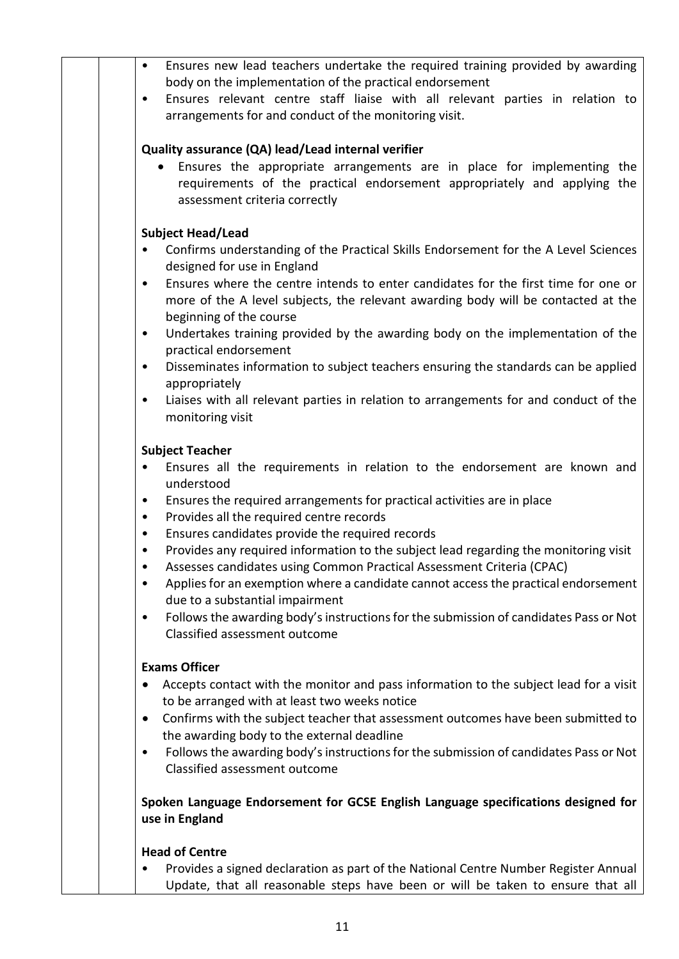| Ensures new lead teachers undertake the required training provided by awarding<br>$\bullet$<br>body on the implementation of the practical endorsement                                                                                                 |
|--------------------------------------------------------------------------------------------------------------------------------------------------------------------------------------------------------------------------------------------------------|
| Ensures relevant centre staff liaise with all relevant parties in relation to<br>$\bullet$<br>arrangements for and conduct of the monitoring visit.                                                                                                    |
| Quality assurance (QA) lead/Lead internal verifier<br>Ensures the appropriate arrangements are in place for implementing the<br>$\bullet$<br>requirements of the practical endorsement appropriately and applying the<br>assessment criteria correctly |
| <b>Subject Head/Lead</b>                                                                                                                                                                                                                               |
| Confirms understanding of the Practical Skills Endorsement for the A Level Sciences<br>$\bullet$<br>designed for use in England                                                                                                                        |
| Ensures where the centre intends to enter candidates for the first time for one or<br>$\bullet$<br>more of the A level subjects, the relevant awarding body will be contacted at the<br>beginning of the course                                        |
| Undertakes training provided by the awarding body on the implementation of the<br>$\bullet$<br>practical endorsement                                                                                                                                   |
| Disseminates information to subject teachers ensuring the standards can be applied<br>$\bullet$<br>appropriately                                                                                                                                       |
| Liaises with all relevant parties in relation to arrangements for and conduct of the<br>$\bullet$<br>monitoring visit                                                                                                                                  |
| <b>Subject Teacher</b>                                                                                                                                                                                                                                 |
| Ensures all the requirements in relation to the endorsement are known and<br>understood                                                                                                                                                                |
| Ensures the required arrangements for practical activities are in place<br>٠                                                                                                                                                                           |
| Provides all the required centre records<br>$\bullet$<br>Ensures candidates provide the required records<br>٠                                                                                                                                          |
| Provides any required information to the subject lead regarding the monitoring visit<br>Assesses candidates using Common Practical Assessment Criteria (CPAC)                                                                                          |
| Applies for an exemption where a candidate cannot access the practical endorsement<br>٠<br>due to a substantial impairment                                                                                                                             |
| Follows the awarding body's instructions for the submission of candidates Pass or Not<br>$\bullet$<br>Classified assessment outcome                                                                                                                    |
| <b>Exams Officer</b>                                                                                                                                                                                                                                   |
| Accepts contact with the monitor and pass information to the subject lead for a visit<br>to be arranged with at least two weeks notice                                                                                                                 |
| Confirms with the subject teacher that assessment outcomes have been submitted to<br>$\bullet$                                                                                                                                                         |
| the awarding body to the external deadline                                                                                                                                                                                                             |
| Follows the awarding body's instructions for the submission of candidates Pass or Not<br>$\bullet$<br>Classified assessment outcome                                                                                                                    |
| Spoken Language Endorsement for GCSE English Language specifications designed for<br>use in England                                                                                                                                                    |
| <b>Head of Centre</b>                                                                                                                                                                                                                                  |
| Provides a signed declaration as part of the National Centre Number Register Annual<br>Update, that all reasonable steps have been or will be taken to ensure that all                                                                                 |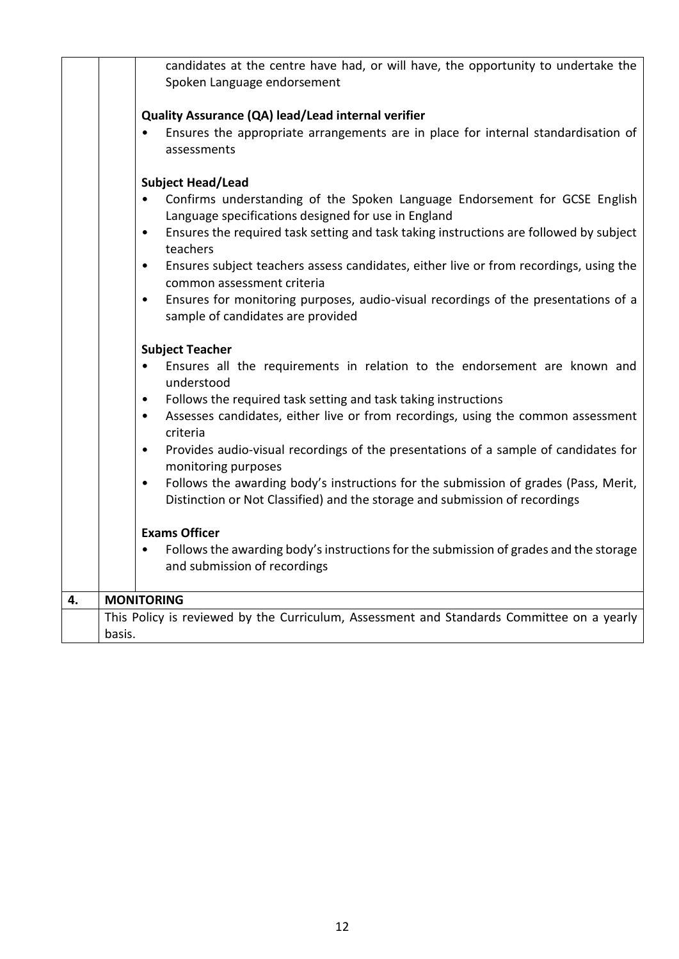|    |                                                                                                                                      | candidates at the centre have had, or will have, the opportunity to undertake the<br>Spoken Language endorsement                                                   |
|----|--------------------------------------------------------------------------------------------------------------------------------------|--------------------------------------------------------------------------------------------------------------------------------------------------------------------|
|    |                                                                                                                                      | Quality Assurance (QA) lead/Lead internal verifier                                                                                                                 |
|    |                                                                                                                                      | Ensures the appropriate arrangements are in place for internal standardisation of<br>assessments                                                                   |
|    |                                                                                                                                      | <b>Subject Head/Lead</b>                                                                                                                                           |
|    | $\bullet$                                                                                                                            | Confirms understanding of the Spoken Language Endorsement for GCSE English<br>Language specifications designed for use in England                                  |
|    | $\bullet$                                                                                                                            | Ensures the required task setting and task taking instructions are followed by subject<br>teachers                                                                 |
|    | $\bullet$                                                                                                                            | Ensures subject teachers assess candidates, either live or from recordings, using the<br>common assessment criteria                                                |
|    | Ensures for monitoring purposes, audio-visual recordings of the presentations of a<br>$\bullet$<br>sample of candidates are provided |                                                                                                                                                                    |
|    |                                                                                                                                      | <b>Subject Teacher</b>                                                                                                                                             |
|    | $\bullet$                                                                                                                            | Ensures all the requirements in relation to the endorsement are known and<br>understood                                                                            |
|    | $\bullet$                                                                                                                            | Follows the required task setting and task taking instructions                                                                                                     |
|    | $\bullet$                                                                                                                            | Assesses candidates, either live or from recordings, using the common assessment<br>criteria                                                                       |
|    | $\bullet$                                                                                                                            | Provides audio-visual recordings of the presentations of a sample of candidates for<br>monitoring purposes                                                         |
|    | $\bullet$                                                                                                                            | Follows the awarding body's instructions for the submission of grades (Pass, Merit,<br>Distinction or Not Classified) and the storage and submission of recordings |
|    |                                                                                                                                      | <b>Exams Officer</b>                                                                                                                                               |
|    | $\bullet$                                                                                                                            | Follows the awarding body's instructions for the submission of grades and the storage<br>and submission of recordings                                              |
| 4. | <b>MONITORING</b>                                                                                                                    |                                                                                                                                                                    |
|    |                                                                                                                                      | This Policy is reviewed by the Curriculum, Assessment and Standards Committee on a yearly                                                                          |
|    | basis.                                                                                                                               |                                                                                                                                                                    |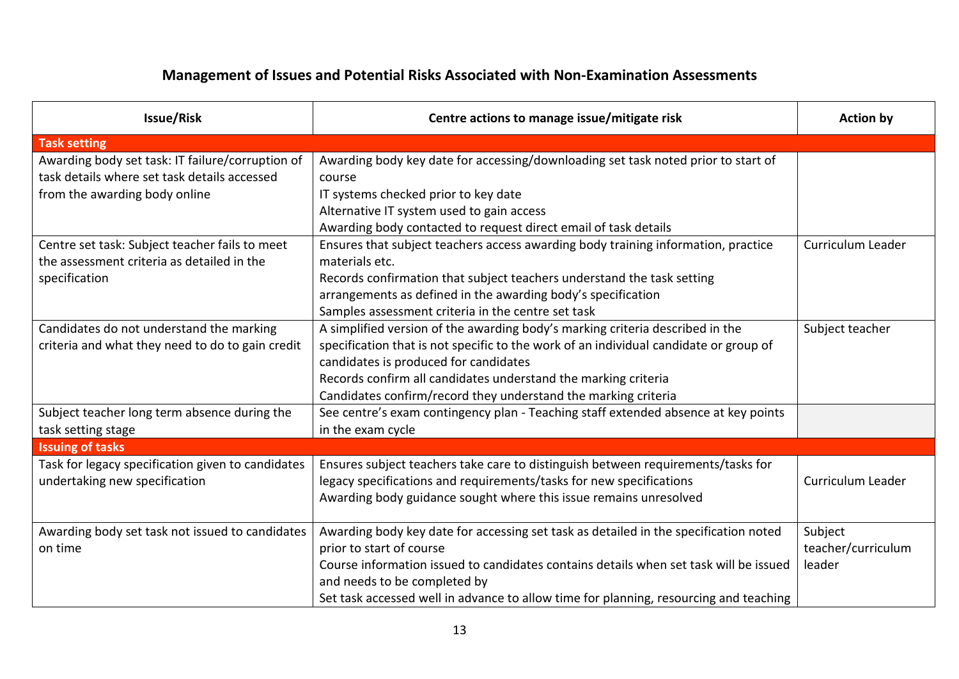## **Management of Issues and Potential Risks Associated with Non-Examination Assessments**

| <b>Issue/Risk</b>                                 | Centre actions to manage issue/mitigate risk                                                                          | <b>Action by</b>   |
|---------------------------------------------------|-----------------------------------------------------------------------------------------------------------------------|--------------------|
| <b>Task setting</b>                               |                                                                                                                       |                    |
| Awarding body set task: IT failure/corruption of  | Awarding body key date for accessing/downloading set task noted prior to start of                                     |                    |
| task details where set task details accessed      | course                                                                                                                |                    |
| from the awarding body online                     | IT systems checked prior to key date                                                                                  |                    |
|                                                   | Alternative IT system used to gain access                                                                             |                    |
|                                                   | Awarding body contacted to request direct email of task details                                                       |                    |
| Centre set task: Subject teacher fails to meet    | Ensures that subject teachers access awarding body training information, practice                                     | Curriculum Leader  |
| the assessment criteria as detailed in the        | materials etc.                                                                                                        |                    |
| specification                                     | Records confirmation that subject teachers understand the task setting                                                |                    |
|                                                   | arrangements as defined in the awarding body's specification                                                          |                    |
|                                                   | Samples assessment criteria in the centre set task                                                                    |                    |
| Candidates do not understand the marking          | A simplified version of the awarding body's marking criteria described in the                                         | Subject teacher    |
| criteria and what they need to do to gain credit  | specification that is not specific to the work of an individual candidate or group of                                 |                    |
|                                                   | candidates is produced for candidates                                                                                 |                    |
|                                                   | Records confirm all candidates understand the marking criteria                                                        |                    |
|                                                   | Candidates confirm/record they understand the marking criteria                                                        |                    |
| Subject teacher long term absence during the      | See centre's exam contingency plan - Teaching staff extended absence at key points                                    |                    |
| task setting stage                                | in the exam cycle                                                                                                     |                    |
| <b>Issuing of tasks</b>                           |                                                                                                                       |                    |
| Task for legacy specification given to candidates | Ensures subject teachers take care to distinguish between requirements/tasks for                                      |                    |
| undertaking new specification                     | legacy specifications and requirements/tasks for new specifications                                                   | Curriculum Leader  |
|                                                   | Awarding body guidance sought where this issue remains unresolved                                                     |                    |
|                                                   |                                                                                                                       |                    |
| Awarding body set task not issued to candidates   | Awarding body key date for accessing set task as detailed in the specification noted                                  | Subject            |
| on time                                           | prior to start of course                                                                                              | teacher/curriculum |
|                                                   | Course information issued to candidates contains details when set task will be issued<br>and needs to be completed by | leader             |
|                                                   | Set task accessed well in advance to allow time for planning, resourcing and teaching                                 |                    |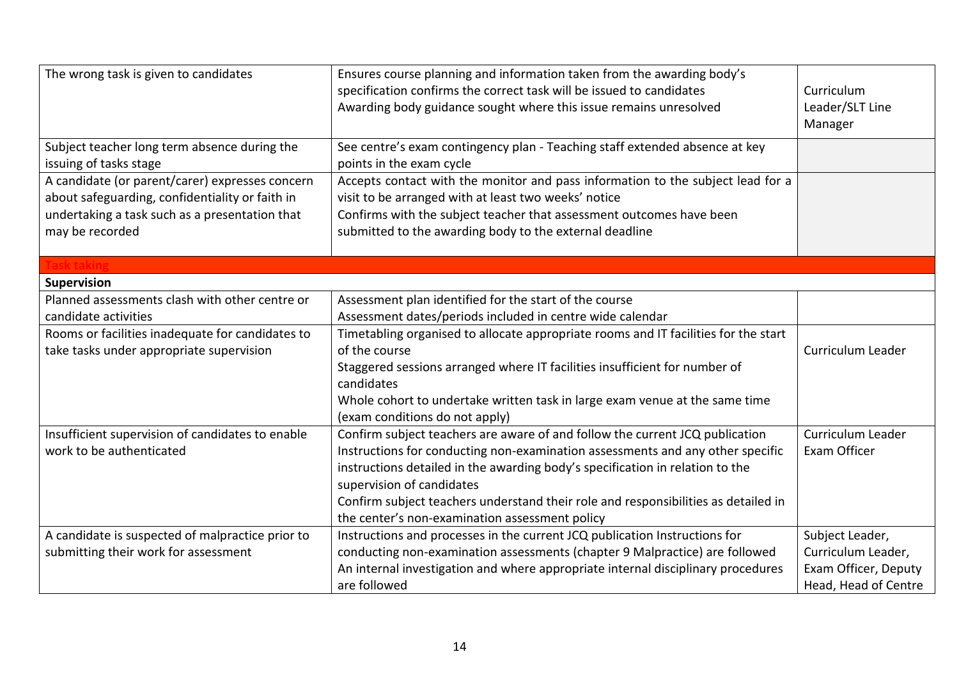| The wrong task is given to candidates                                                                                                                                   | Ensures course planning and information taken from the awarding body's<br>specification confirms the correct task will be issued to candidates<br>Awarding body guidance sought where this issue remains unresolved                                                                                                                                                                                                  | Curriculum<br>Leader/SLT Line<br>Manager                                              |
|-------------------------------------------------------------------------------------------------------------------------------------------------------------------------|----------------------------------------------------------------------------------------------------------------------------------------------------------------------------------------------------------------------------------------------------------------------------------------------------------------------------------------------------------------------------------------------------------------------|---------------------------------------------------------------------------------------|
| Subject teacher long term absence during the<br>issuing of tasks stage                                                                                                  | See centre's exam contingency plan - Teaching staff extended absence at key<br>points in the exam cycle                                                                                                                                                                                                                                                                                                              |                                                                                       |
| A candidate (or parent/carer) expresses concern<br>about safeguarding, confidentiality or faith in<br>undertaking a task such as a presentation that<br>may be recorded | Accepts contact with the monitor and pass information to the subject lead for a<br>visit to be arranged with at least two weeks' notice<br>Confirms with the subject teacher that assessment outcomes have been<br>submitted to the awarding body to the external deadline                                                                                                                                           |                                                                                       |
|                                                                                                                                                                         |                                                                                                                                                                                                                                                                                                                                                                                                                      |                                                                                       |
| <b>Supervision</b>                                                                                                                                                      |                                                                                                                                                                                                                                                                                                                                                                                                                      |                                                                                       |
| Planned assessments clash with other centre or<br>candidate activities                                                                                                  | Assessment plan identified for the start of the course<br>Assessment dates/periods included in centre wide calendar                                                                                                                                                                                                                                                                                                  |                                                                                       |
| Rooms or facilities inadequate for candidates to<br>take tasks under appropriate supervision                                                                            | Timetabling organised to allocate appropriate rooms and IT facilities for the start<br>of the course<br>Staggered sessions arranged where IT facilities insufficient for number of<br>candidates<br>Whole cohort to undertake written task in large exam venue at the same time<br>(exam conditions do not apply)                                                                                                    | Curriculum Leader                                                                     |
| Insufficient supervision of candidates to enable<br>work to be authenticated                                                                                            | Confirm subject teachers are aware of and follow the current JCQ publication<br>Instructions for conducting non-examination assessments and any other specific<br>instructions detailed in the awarding body's specification in relation to the<br>supervision of candidates<br>Confirm subject teachers understand their role and responsibilities as detailed in<br>the center's non-examination assessment policy | Curriculum Leader<br>Exam Officer                                                     |
| A candidate is suspected of malpractice prior to<br>submitting their work for assessment                                                                                | Instructions and processes in the current JCQ publication Instructions for<br>conducting non-examination assessments (chapter 9 Malpractice) are followed<br>An internal investigation and where appropriate internal disciplinary procedures<br>are followed                                                                                                                                                        | Subject Leader,<br>Curriculum Leader,<br>Exam Officer, Deputy<br>Head, Head of Centre |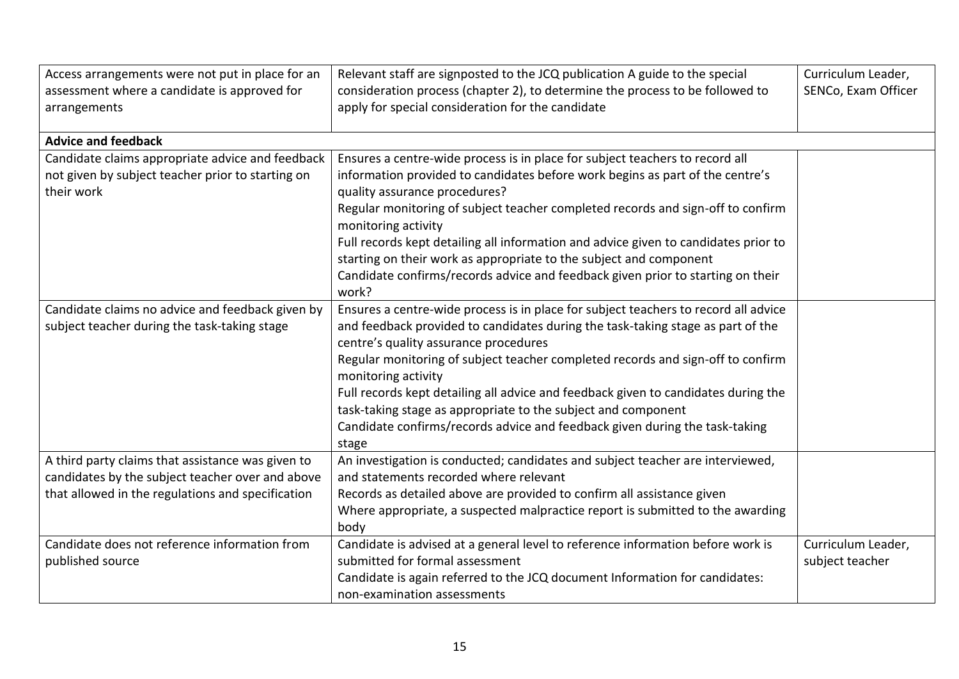| Access arrangements were not put in place for an  | Relevant staff are signposted to the JCQ publication A guide to the special                                                                         | Curriculum Leader,  |
|---------------------------------------------------|-----------------------------------------------------------------------------------------------------------------------------------------------------|---------------------|
| assessment where a candidate is approved for      | consideration process (chapter 2), to determine the process to be followed to                                                                       | SENCo, Exam Officer |
| arrangements                                      | apply for special consideration for the candidate                                                                                                   |                     |
|                                                   |                                                                                                                                                     |                     |
| <b>Advice and feedback</b>                        |                                                                                                                                                     |                     |
| Candidate claims appropriate advice and feedback  | Ensures a centre-wide process is in place for subject teachers to record all                                                                        |                     |
| not given by subject teacher prior to starting on | information provided to candidates before work begins as part of the centre's                                                                       |                     |
| their work                                        | quality assurance procedures?                                                                                                                       |                     |
|                                                   | Regular monitoring of subject teacher completed records and sign-off to confirm<br>monitoring activity                                              |                     |
|                                                   | Full records kept detailing all information and advice given to candidates prior to                                                                 |                     |
|                                                   | starting on their work as appropriate to the subject and component                                                                                  |                     |
|                                                   | Candidate confirms/records advice and feedback given prior to starting on their                                                                     |                     |
|                                                   | work?                                                                                                                                               |                     |
| Candidate claims no advice and feedback given by  | Ensures a centre-wide process is in place for subject teachers to record all advice                                                                 |                     |
| subject teacher during the task-taking stage      | and feedback provided to candidates during the task-taking stage as part of the<br>centre's quality assurance procedures                            |                     |
|                                                   | Regular monitoring of subject teacher completed records and sign-off to confirm                                                                     |                     |
|                                                   | monitoring activity                                                                                                                                 |                     |
|                                                   | Full records kept detailing all advice and feedback given to candidates during the<br>task-taking stage as appropriate to the subject and component |                     |
|                                                   | Candidate confirms/records advice and feedback given during the task-taking                                                                         |                     |
|                                                   | stage                                                                                                                                               |                     |
| A third party claims that assistance was given to | An investigation is conducted; candidates and subject teacher are interviewed,                                                                      |                     |
| candidates by the subject teacher over and above  | and statements recorded where relevant                                                                                                              |                     |
| that allowed in the regulations and specification | Records as detailed above are provided to confirm all assistance given                                                                              |                     |
|                                                   | Where appropriate, a suspected malpractice report is submitted to the awarding                                                                      |                     |
|                                                   | body                                                                                                                                                |                     |
| Candidate does not reference information from     | Candidate is advised at a general level to reference information before work is                                                                     | Curriculum Leader,  |
| published source                                  | submitted for formal assessment                                                                                                                     | subject teacher     |
|                                                   | Candidate is again referred to the JCQ document Information for candidates:                                                                         |                     |
|                                                   | non-examination assessments                                                                                                                         |                     |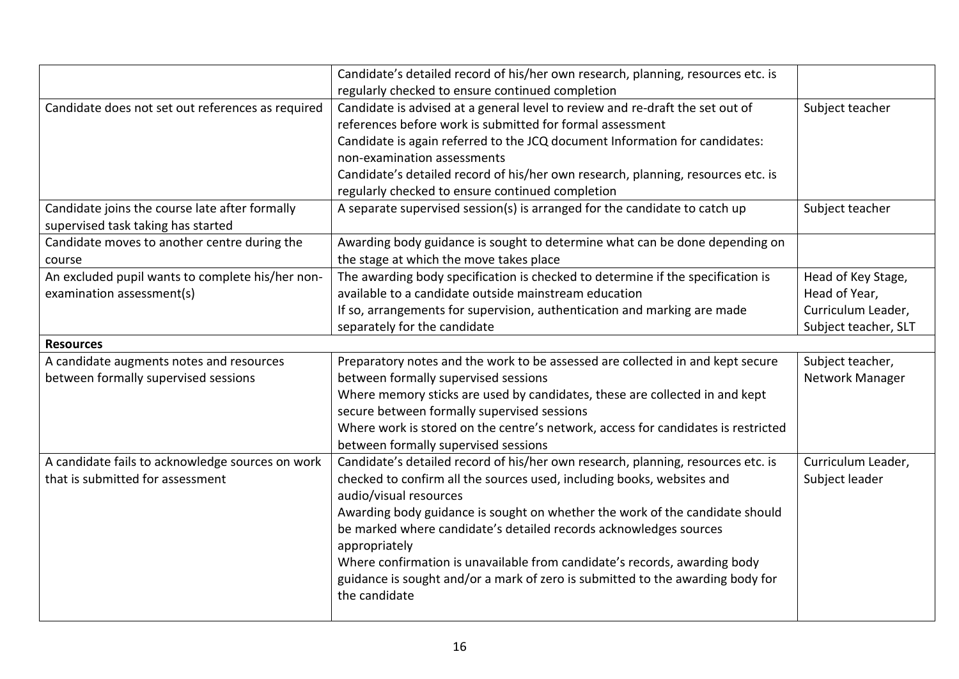|                                                   | Candidate's detailed record of his/her own research, planning, resources etc. is  |                      |
|---------------------------------------------------|-----------------------------------------------------------------------------------|----------------------|
|                                                   | regularly checked to ensure continued completion                                  |                      |
| Candidate does not set out references as required | Candidate is advised at a general level to review and re-draft the set out of     | Subject teacher      |
|                                                   | references before work is submitted for formal assessment                         |                      |
|                                                   | Candidate is again referred to the JCQ document Information for candidates:       |                      |
|                                                   | non-examination assessments                                                       |                      |
|                                                   | Candidate's detailed record of his/her own research, planning, resources etc. is  |                      |
|                                                   | regularly checked to ensure continued completion                                  |                      |
| Candidate joins the course late after formally    | A separate supervised session(s) is arranged for the candidate to catch up        | Subject teacher      |
| supervised task taking has started                |                                                                                   |                      |
| Candidate moves to another centre during the      | Awarding body guidance is sought to determine what can be done depending on       |                      |
| course                                            | the stage at which the move takes place                                           |                      |
| An excluded pupil wants to complete his/her non-  | The awarding body specification is checked to determine if the specification is   | Head of Key Stage,   |
| examination assessment(s)                         | available to a candidate outside mainstream education                             | Head of Year,        |
|                                                   | If so, arrangements for supervision, authentication and marking are made          | Curriculum Leader,   |
|                                                   | separately for the candidate                                                      | Subject teacher, SLT |
| <b>Resources</b>                                  |                                                                                   |                      |
| A candidate augments notes and resources          | Preparatory notes and the work to be assessed are collected in and kept secure    | Subject teacher,     |
| between formally supervised sessions              | between formally supervised sessions                                              | Network Manager      |
|                                                   | Where memory sticks are used by candidates, these are collected in and kept       |                      |
|                                                   | secure between formally supervised sessions                                       |                      |
|                                                   | Where work is stored on the centre's network, access for candidates is restricted |                      |
|                                                   | between formally supervised sessions                                              |                      |
| A candidate fails to acknowledge sources on work  | Candidate's detailed record of his/her own research, planning, resources etc. is  | Curriculum Leader,   |
| that is submitted for assessment                  | checked to confirm all the sources used, including books, websites and            | Subject leader       |
|                                                   | audio/visual resources                                                            |                      |
|                                                   | Awarding body guidance is sought on whether the work of the candidate should      |                      |
|                                                   | be marked where candidate's detailed records acknowledges sources                 |                      |
|                                                   | appropriately                                                                     |                      |
|                                                   | Where confirmation is unavailable from candidate's records, awarding body         |                      |
|                                                   | guidance is sought and/or a mark of zero is submitted to the awarding body for    |                      |
|                                                   | the candidate                                                                     |                      |
|                                                   |                                                                                   |                      |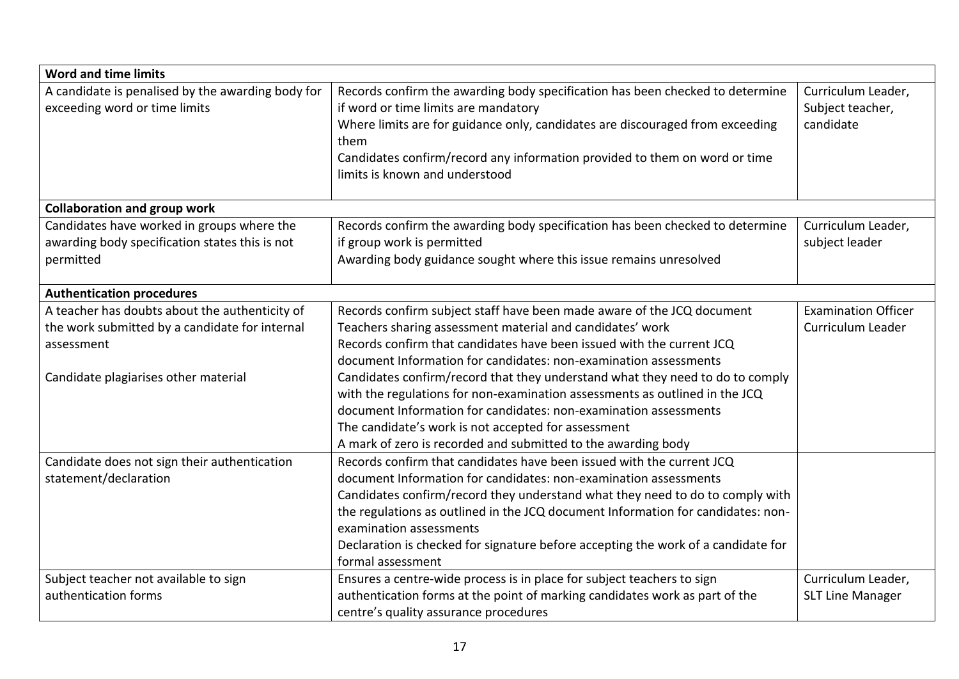| <b>Word and time limits</b>                                                                                                                            |                                                                                                                                                                                                                                                                                                                                                                                                                                                                                                                                                                                                                                              |                                                     |  |
|--------------------------------------------------------------------------------------------------------------------------------------------------------|----------------------------------------------------------------------------------------------------------------------------------------------------------------------------------------------------------------------------------------------------------------------------------------------------------------------------------------------------------------------------------------------------------------------------------------------------------------------------------------------------------------------------------------------------------------------------------------------------------------------------------------------|-----------------------------------------------------|--|
| A candidate is penalised by the awarding body for<br>exceeding word or time limits                                                                     | Records confirm the awarding body specification has been checked to determine<br>if word or time limits are mandatory<br>Where limits are for guidance only, candidates are discouraged from exceeding<br>them<br>Candidates confirm/record any information provided to them on word or time<br>limits is known and understood                                                                                                                                                                                                                                                                                                               | Curriculum Leader,<br>Subject teacher,<br>candidate |  |
| <b>Collaboration and group work</b>                                                                                                                    |                                                                                                                                                                                                                                                                                                                                                                                                                                                                                                                                                                                                                                              |                                                     |  |
| Candidates have worked in groups where the<br>awarding body specification states this is not<br>permitted                                              | Records confirm the awarding body specification has been checked to determine<br>if group work is permitted<br>Awarding body guidance sought where this issue remains unresolved                                                                                                                                                                                                                                                                                                                                                                                                                                                             | Curriculum Leader,<br>subject leader                |  |
| <b>Authentication procedures</b>                                                                                                                       |                                                                                                                                                                                                                                                                                                                                                                                                                                                                                                                                                                                                                                              |                                                     |  |
| A teacher has doubts about the authenticity of<br>the work submitted by a candidate for internal<br>assessment<br>Candidate plagiarises other material | Records confirm subject staff have been made aware of the JCQ document<br>Teachers sharing assessment material and candidates' work<br>Records confirm that candidates have been issued with the current JCQ<br>document Information for candidates: non-examination assessments<br>Candidates confirm/record that they understand what they need to do to comply<br>with the regulations for non-examination assessments as outlined in the JCQ<br>document Information for candidates: non-examination assessments<br>The candidate's work is not accepted for assessment<br>A mark of zero is recorded and submitted to the awarding body | <b>Examination Officer</b><br>Curriculum Leader     |  |
| Candidate does not sign their authentication<br>statement/declaration                                                                                  | Records confirm that candidates have been issued with the current JCQ<br>document Information for candidates: non-examination assessments<br>Candidates confirm/record they understand what they need to do to comply with<br>the regulations as outlined in the JCQ document Information for candidates: non-<br>examination assessments<br>Declaration is checked for signature before accepting the work of a candidate for<br>formal assessment                                                                                                                                                                                          |                                                     |  |
| Subject teacher not available to sign<br>authentication forms                                                                                          | Ensures a centre-wide process is in place for subject teachers to sign<br>authentication forms at the point of marking candidates work as part of the<br>centre's quality assurance procedures                                                                                                                                                                                                                                                                                                                                                                                                                                               | Curriculum Leader,<br><b>SLT Line Manager</b>       |  |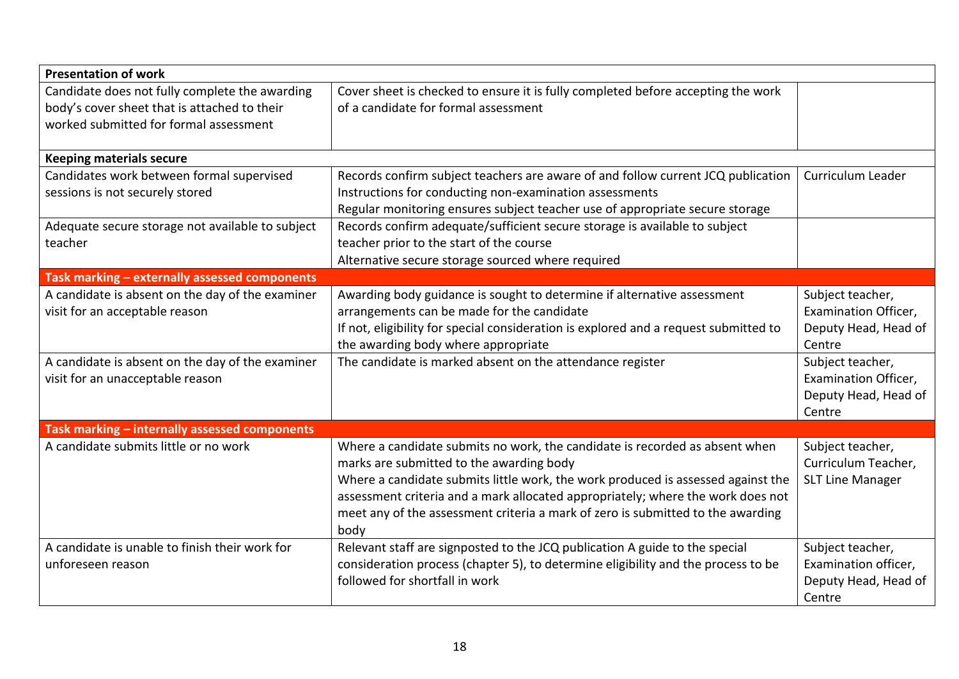| <b>Presentation of work</b>                                                                    |                                                                                                                          |                         |  |
|------------------------------------------------------------------------------------------------|--------------------------------------------------------------------------------------------------------------------------|-------------------------|--|
| Candidate does not fully complete the awarding<br>body's cover sheet that is attached to their | Cover sheet is checked to ensure it is fully completed before accepting the work<br>of a candidate for formal assessment |                         |  |
| worked submitted for formal assessment                                                         |                                                                                                                          |                         |  |
| <b>Keeping materials secure</b>                                                                |                                                                                                                          |                         |  |
| Candidates work between formal supervised                                                      | Records confirm subject teachers are aware of and follow current JCQ publication                                         | Curriculum Leader       |  |
| sessions is not securely stored                                                                | Instructions for conducting non-examination assessments                                                                  |                         |  |
|                                                                                                | Regular monitoring ensures subject teacher use of appropriate secure storage                                             |                         |  |
| Adequate secure storage not available to subject                                               | Records confirm adequate/sufficient secure storage is available to subject                                               |                         |  |
| teacher                                                                                        | teacher prior to the start of the course                                                                                 |                         |  |
|                                                                                                | Alternative secure storage sourced where required                                                                        |                         |  |
| Task marking - externally assessed components                                                  |                                                                                                                          |                         |  |
| A candidate is absent on the day of the examiner                                               | Awarding body guidance is sought to determine if alternative assessment                                                  | Subject teacher,        |  |
| visit for an acceptable reason                                                                 | arrangements can be made for the candidate                                                                               | Examination Officer,    |  |
|                                                                                                | If not, eligibility for special consideration is explored and a request submitted to                                     | Deputy Head, Head of    |  |
|                                                                                                | the awarding body where appropriate                                                                                      | Centre                  |  |
| A candidate is absent on the day of the examiner                                               | The candidate is marked absent on the attendance register                                                                | Subject teacher,        |  |
| visit for an unacceptable reason                                                               |                                                                                                                          | Examination Officer,    |  |
|                                                                                                |                                                                                                                          | Deputy Head, Head of    |  |
|                                                                                                |                                                                                                                          | Centre                  |  |
| Task marking - internally assessed components                                                  |                                                                                                                          |                         |  |
| A candidate submits little or no work                                                          | Where a candidate submits no work, the candidate is recorded as absent when                                              | Subject teacher,        |  |
|                                                                                                | marks are submitted to the awarding body                                                                                 | Curriculum Teacher,     |  |
|                                                                                                | Where a candidate submits little work, the work produced is assessed against the                                         | <b>SLT Line Manager</b> |  |
|                                                                                                | assessment criteria and a mark allocated appropriately; where the work does not                                          |                         |  |
|                                                                                                | meet any of the assessment criteria a mark of zero is submitted to the awarding<br>body                                  |                         |  |
| A candidate is unable to finish their work for                                                 | Relevant staff are signposted to the JCQ publication A guide to the special                                              | Subject teacher,        |  |
| unforeseen reason                                                                              | consideration process (chapter 5), to determine eligibility and the process to be                                        | Examination officer,    |  |
|                                                                                                | followed for shortfall in work                                                                                           | Deputy Head, Head of    |  |
|                                                                                                |                                                                                                                          | Centre                  |  |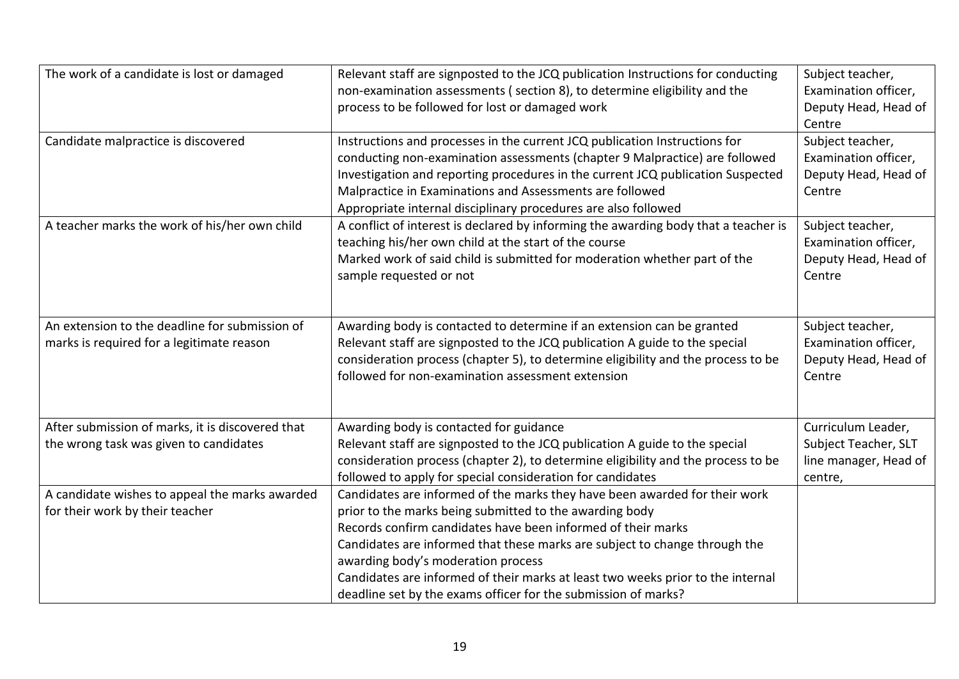| The work of a candidate is lost or damaged<br>Candidate malpractice is discovered           | Relevant staff are signposted to the JCQ publication Instructions for conducting<br>non-examination assessments (section 8), to determine eligibility and the<br>process to be followed for lost or damaged work<br>Instructions and processes in the current JCQ publication Instructions for                                                                                                                                                                                 | Subject teacher,<br>Examination officer,<br>Deputy Head, Head of<br>Centre<br>Subject teacher, |
|---------------------------------------------------------------------------------------------|--------------------------------------------------------------------------------------------------------------------------------------------------------------------------------------------------------------------------------------------------------------------------------------------------------------------------------------------------------------------------------------------------------------------------------------------------------------------------------|------------------------------------------------------------------------------------------------|
|                                                                                             | conducting non-examination assessments (chapter 9 Malpractice) are followed<br>Investigation and reporting procedures in the current JCQ publication Suspected<br>Malpractice in Examinations and Assessments are followed<br>Appropriate internal disciplinary procedures are also followed                                                                                                                                                                                   | Examination officer,<br>Deputy Head, Head of<br>Centre                                         |
| A teacher marks the work of his/her own child                                               | A conflict of interest is declared by informing the awarding body that a teacher is<br>teaching his/her own child at the start of the course<br>Marked work of said child is submitted for moderation whether part of the<br>sample requested or not                                                                                                                                                                                                                           | Subject teacher,<br>Examination officer,<br>Deputy Head, Head of<br>Centre                     |
| An extension to the deadline for submission of<br>marks is required for a legitimate reason | Awarding body is contacted to determine if an extension can be granted<br>Relevant staff are signposted to the JCQ publication A guide to the special<br>consideration process (chapter 5), to determine eligibility and the process to be<br>followed for non-examination assessment extension                                                                                                                                                                                | Subject teacher,<br>Examination officer,<br>Deputy Head, Head of<br>Centre                     |
| After submission of marks, it is discovered that<br>the wrong task was given to candidates  | Awarding body is contacted for guidance<br>Relevant staff are signposted to the JCQ publication A guide to the special<br>consideration process (chapter 2), to determine eligibility and the process to be<br>followed to apply for special consideration for candidates                                                                                                                                                                                                      | Curriculum Leader,<br>Subject Teacher, SLT<br>line manager, Head of<br>centre,                 |
| A candidate wishes to appeal the marks awarded<br>for their work by their teacher           | Candidates are informed of the marks they have been awarded for their work<br>prior to the marks being submitted to the awarding body<br>Records confirm candidates have been informed of their marks<br>Candidates are informed that these marks are subject to change through the<br>awarding body's moderation process<br>Candidates are informed of their marks at least two weeks prior to the internal<br>deadline set by the exams officer for the submission of marks? |                                                                                                |